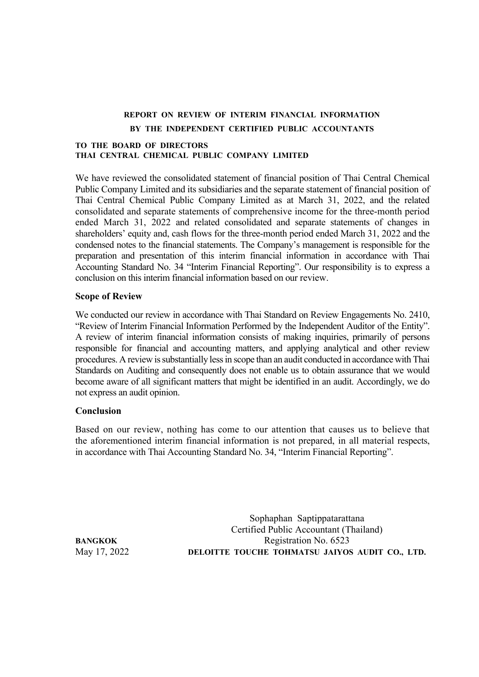# **REPORT ON REVIEW OF INTERIM FINANCIAL INFORMATION BY THE INDEPENDENT CERTIFIED PUBLIC ACCOUNTANTS**

## **TO THE BOARD OF DIRECTORS THAI CENTRAL CHEMICAL PUBLIC COMPANY LIMITED**

We have reviewed the consolidated statement of financial position of Thai Central Chemical Public Company Limited and its subsidiaries and the separate statement of financial position of Thai Central Chemical Public Company Limited as at March 31, 2022, and the related consolidated and separate statements of comprehensive income for the three-month period ended March 31, 2022 and related consolidated and separate statements of changes in shareholders' equity and, cash flows for the three-month period ended March 31, 2022 and the condensed notes to the financial statements. The Company's management is responsible for the preparation and presentation of this interim financial information in accordance with Thai Accounting Standard No. 34 "Interim Financial Reporting". Our responsibility is to express a conclusion on this interim financial information based on our review.

## **Scope of Review**

We conducted our review in accordance with Thai Standard on Review Engagements No. 2410, "Review of Interim Financial Information Performed by the Independent Auditor of the Entity". A review of interim financial information consists of making inquiries, primarily of persons responsible for financial and accounting matters, and applying analytical and other review procedures. A review is substantially less in scope than an audit conducted in accordance with Thai Standards on Auditing and consequently does not enable us to obtain assurance that we would become aware of all significant matters that might be identified in an audit. Accordingly, we do not express an audit opinion.

## **Conclusion**

Based on our review, nothing has come to our attention that causes us to believe that the aforementioned interim financial information is not prepared, in all material respects, in accordance with Thai Accounting Standard No. 34, "Interim Financial Reporting".

Sophaphan Saptippatarattana Certified Public Accountant (Thailand) **BANGKOK** Registration No. 6523 May 17, 2022 **DELOITTE TOUCHE TOHMATSU JAIYOS AUDIT CO., LTD.**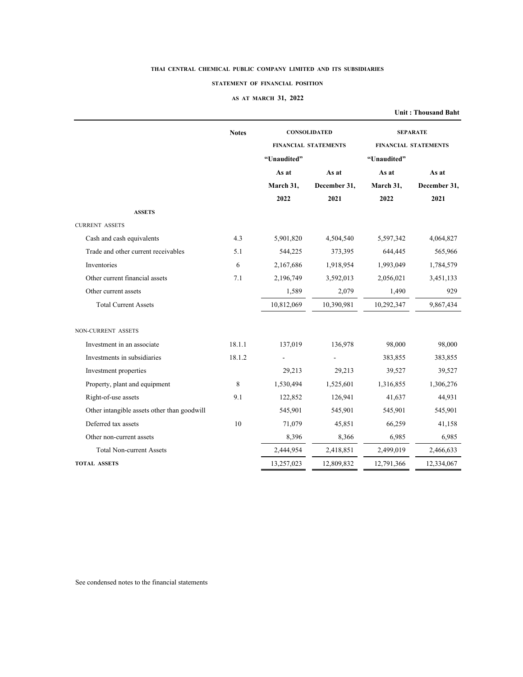#### **STATEMENT OF FINANCIAL POSITION**

## **AS AT MARCH 31, 2022**

**Unit : Thousand Baht**

|                                             | <b>Notes</b> | <b>CONSOLIDATED</b> |                             | <b>SEPARATE</b> |                             |  |
|---------------------------------------------|--------------|---------------------|-----------------------------|-----------------|-----------------------------|--|
|                                             |              |                     | <b>FINANCIAL STATEMENTS</b> |                 | <b>FINANCIAL STATEMENTS</b> |  |
|                                             |              | "Unaudited"         |                             | "Unaudited"     |                             |  |
|                                             |              | As at               | As at                       | As at           | As at                       |  |
|                                             |              | March 31,           | December 31,                | March 31,       | December 31,                |  |
|                                             |              | 2022                | 2021                        | 2022            | 2021                        |  |
| <b>ASSETS</b>                               |              |                     |                             |                 |                             |  |
| <b>CURRENT ASSETS</b>                       |              |                     |                             |                 |                             |  |
| Cash and cash equivalents                   | 4.3          | 5,901,820           | 4,504,540                   | 5,597,342       | 4,064,827                   |  |
| Trade and other current receivables         | 5.1          | 544,225             | 373,395                     | 644,445         | 565,966                     |  |
| Inventories                                 | 6            | 2,167,686           | 1,918,954                   | 1,993,049       | 1,784,579                   |  |
| Other current financial assets              | 7.1          | 2,196,749           | 3,592,013                   | 2,056,021       | 3,451,133                   |  |
| Other current assets                        |              | 1,589               | 2,079                       | 1,490           | 929                         |  |
| <b>Total Current Assets</b>                 |              | 10,812,069          | 10,390.981                  | 10,292,347      | 9,867,434                   |  |
|                                             |              |                     |                             |                 |                             |  |
| NON-CURRENT ASSETS                          |              |                     |                             |                 |                             |  |
| Investment in an associate                  | 18.1.1       | 137,019             | 136,978                     | 98,000          | 98,000                      |  |
| Investments in subsidiaries                 | 18.1.2       |                     |                             | 383,855         | 383,855                     |  |
| Investment properties                       |              | 29,213              | 29,213                      | 39,527          | 39,527                      |  |
| Property, plant and equipment               | 8            | 1,530,494           | 1,525,601                   | 1,316,855       | 1,306,276                   |  |
| Right-of-use assets                         | 9.1          | 122,852             | 126,941                     | 41,637          | 44,931                      |  |
| Other intangible assets other than goodwill |              | 545,901             | 545,901                     | 545,901         | 545,901                     |  |
| Deferred tax assets                         | 10           | 71,079              | 45,851                      | 66,259          | 41,158                      |  |
| Other non-current assets                    |              | 8,396               | 8,366                       | 6,985           | 6,985                       |  |
| <b>Total Non-current Assets</b>             |              | 2,444,954           | 2,418,851                   | 2,499,019       | 2,466,633                   |  |
| <b>TOTAL ASSETS</b>                         |              | 13,257,023          | 12,809,832                  | 12,791,366      | 12,334,067                  |  |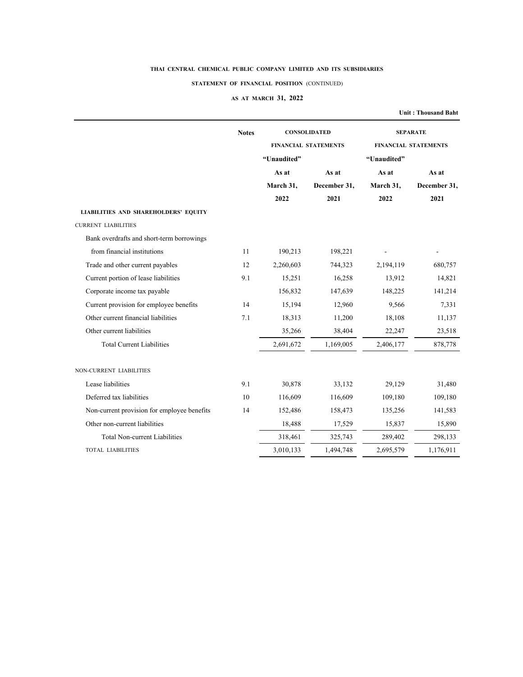## **STATEMENT OF FINANCIAL POSITION** (CONTINUED)

## **AS AT MARCH 31, 2022**

**Unit : Thousand Baht**

|                                             | <b>Notes</b> |             | <b>CONSOLIDATED</b>         | <b>SEPARATE</b> |                             |  |
|---------------------------------------------|--------------|-------------|-----------------------------|-----------------|-----------------------------|--|
|                                             |              |             | <b>FINANCIAL STATEMENTS</b> |                 | <b>FINANCIAL STATEMENTS</b> |  |
|                                             |              | "Unaudited" |                             | "Unaudited"     |                             |  |
|                                             |              | As at       | As at                       | As at           | As at                       |  |
|                                             |              | March 31,   | December 31,                | March 31,       | December 31,                |  |
|                                             |              | 2022        | 2021                        | 2022            | 2021                        |  |
| <b>LIABILITIES AND SHAREHOLDERS' EQUITY</b> |              |             |                             |                 |                             |  |
| <b>CURRENT LIABILITIES</b>                  |              |             |                             |                 |                             |  |
| Bank overdrafts and short-term borrowings   |              |             |                             |                 |                             |  |
| from financial institutions                 | 11           | 190,213     | 198,221                     |                 |                             |  |
| Trade and other current payables            | 12           | 2,260,603   | 744,323                     | 2,194,119       | 680,757                     |  |
| Current portion of lease liabilities        | 9.1          | 15,251      | 16,258                      | 13,912          | 14,821                      |  |
| Corporate income tax payable                |              | 156,832     | 147,639                     | 148,225         | 141,214                     |  |
| Current provision for employee benefits     | 14           | 15,194      | 12,960                      | 9,566           | 7,331                       |  |
| Other current financial liabilities         | 7.1          | 18,313      | 11,200                      | 18,108          | 11,137                      |  |
| Other current liabilities                   |              | 35,266      | 38,404                      | 22,247          | 23,518                      |  |
| <b>Total Current Liabilities</b>            |              | 2,691,672   | 1,169,005                   | 2,406,177       | 878,778                     |  |
| NON-CURRENT LIABILITIES                     |              |             |                             |                 |                             |  |
| Lease liabilities                           | 9.1          | 30,878      | 33,132                      | 29,129          | 31,480                      |  |
| Deferred tax liabilities                    | 10           | 116,609     | 116,609                     | 109,180         | 109,180                     |  |
| Non-current provision for employee benefits | 14           | 152,486     | 158,473                     | 135,256         | 141,583                     |  |
| Other non-current liabilities               |              | 18,488      | 17,529                      | 15,837          | 15,890                      |  |
| <b>Total Non-current Liabilities</b>        |              | 318,461     | 325,743                     | 289,402         | 298,133                     |  |
| <b>TOTAL LIABILITIES</b>                    |              | 3,010,133   | 1,494,748                   | 2,695,579       | 1,176,911                   |  |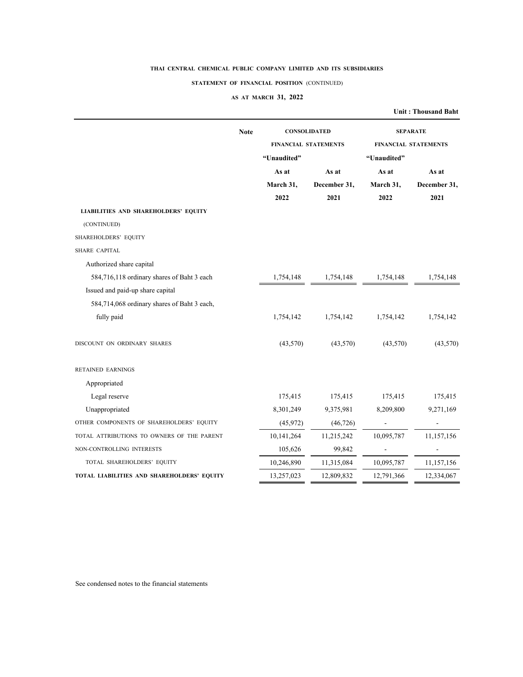### **STATEMENT OF FINANCIAL POSITION** (CONTINUED)

### **AS AT MARCH 31, 2022**

| <b>Note</b><br>"Unaudited"<br>As at<br>March 31,<br>2022<br><b>LIABILITIES AND SHAREHOLDERS' EQUITY</b><br>(CONTINUED)<br>SHAREHOLDERS' EQUITY<br>SHARE CAPITAL<br>Authorized share capital<br>584,716,118 ordinary shares of Baht 3 each<br>1,754,148<br>Issued and paid-up share capital<br>584,714,068 ordinary shares of Baht 3 each,<br>fully paid<br>1,754,142<br>DISCOUNT ON ORDINARY SHARES<br>(43,570)<br><b>RETAINED EARNINGS</b><br>Appropriated<br>Legal reserve<br>175,415<br>Unappropriated<br>8,301,249<br>(45,972)<br>OTHER COMPONENTS OF SHAREHOLDERS' EQUITY<br>TOTAL ATTRIBUTIONS TO OWNERS OF THE PARENT<br>10,141,264<br>NON-CONTROLLING INTERESTS<br>105,626<br>10,246,890<br>TOTAL SHAREHOLDERS' EQUITY |                      |                             | <b>Unit: Thousand Baht</b> |  |
|--------------------------------------------------------------------------------------------------------------------------------------------------------------------------------------------------------------------------------------------------------------------------------------------------------------------------------------------------------------------------------------------------------------------------------------------------------------------------------------------------------------------------------------------------------------------------------------------------------------------------------------------------------------------------------------------------------------------------------|----------------------|-----------------------------|----------------------------|--|
|                                                                                                                                                                                                                                                                                                                                                                                                                                                                                                                                                                                                                                                                                                                                | <b>CONSOLIDATED</b>  |                             | <b>SEPARATE</b>            |  |
|                                                                                                                                                                                                                                                                                                                                                                                                                                                                                                                                                                                                                                                                                                                                | FINANCIAL STATEMENTS | <b>FINANCIAL STATEMENTS</b> |                            |  |
|                                                                                                                                                                                                                                                                                                                                                                                                                                                                                                                                                                                                                                                                                                                                |                      | "Unaudited"                 |                            |  |
|                                                                                                                                                                                                                                                                                                                                                                                                                                                                                                                                                                                                                                                                                                                                | As at                | As at                       | As at                      |  |
|                                                                                                                                                                                                                                                                                                                                                                                                                                                                                                                                                                                                                                                                                                                                | December 31,         | March 31,                   | December 31,               |  |
|                                                                                                                                                                                                                                                                                                                                                                                                                                                                                                                                                                                                                                                                                                                                | 2021                 | 2022                        | 2021                       |  |
|                                                                                                                                                                                                                                                                                                                                                                                                                                                                                                                                                                                                                                                                                                                                |                      |                             |                            |  |
|                                                                                                                                                                                                                                                                                                                                                                                                                                                                                                                                                                                                                                                                                                                                |                      |                             |                            |  |
|                                                                                                                                                                                                                                                                                                                                                                                                                                                                                                                                                                                                                                                                                                                                |                      |                             |                            |  |
|                                                                                                                                                                                                                                                                                                                                                                                                                                                                                                                                                                                                                                                                                                                                |                      |                             |                            |  |
|                                                                                                                                                                                                                                                                                                                                                                                                                                                                                                                                                                                                                                                                                                                                |                      |                             |                            |  |
|                                                                                                                                                                                                                                                                                                                                                                                                                                                                                                                                                                                                                                                                                                                                | 1,754,148            | 1,754,148                   | 1,754,148                  |  |
|                                                                                                                                                                                                                                                                                                                                                                                                                                                                                                                                                                                                                                                                                                                                |                      |                             |                            |  |
|                                                                                                                                                                                                                                                                                                                                                                                                                                                                                                                                                                                                                                                                                                                                |                      |                             |                            |  |
|                                                                                                                                                                                                                                                                                                                                                                                                                                                                                                                                                                                                                                                                                                                                | 1,754,142            | 1,754,142                   | 1,754,142                  |  |
|                                                                                                                                                                                                                                                                                                                                                                                                                                                                                                                                                                                                                                                                                                                                | (43,570)             | (43,570)                    | (43,570)                   |  |
|                                                                                                                                                                                                                                                                                                                                                                                                                                                                                                                                                                                                                                                                                                                                |                      |                             |                            |  |
|                                                                                                                                                                                                                                                                                                                                                                                                                                                                                                                                                                                                                                                                                                                                |                      |                             |                            |  |
|                                                                                                                                                                                                                                                                                                                                                                                                                                                                                                                                                                                                                                                                                                                                | 175,415              | 175,415                     | 175,415                    |  |
|                                                                                                                                                                                                                                                                                                                                                                                                                                                                                                                                                                                                                                                                                                                                | 9,375,981            | 8,209,800                   | 9,271,169                  |  |
|                                                                                                                                                                                                                                                                                                                                                                                                                                                                                                                                                                                                                                                                                                                                | (46, 726)            |                             |                            |  |
|                                                                                                                                                                                                                                                                                                                                                                                                                                                                                                                                                                                                                                                                                                                                | 11,215,242           | 10,095,787                  | 11,157,156                 |  |
|                                                                                                                                                                                                                                                                                                                                                                                                                                                                                                                                                                                                                                                                                                                                | 99,842               |                             |                            |  |
|                                                                                                                                                                                                                                                                                                                                                                                                                                                                                                                                                                                                                                                                                                                                | 11,315,084           | 10,095,787                  | 11,157,156                 |  |
| TOTAL LIABILITIES AND SHAREHOLDERS' EQUITY<br>13,257,023                                                                                                                                                                                                                                                                                                                                                                                                                                                                                                                                                                                                                                                                       | 12,809,832           | 12,791,366                  | 12,334,067                 |  |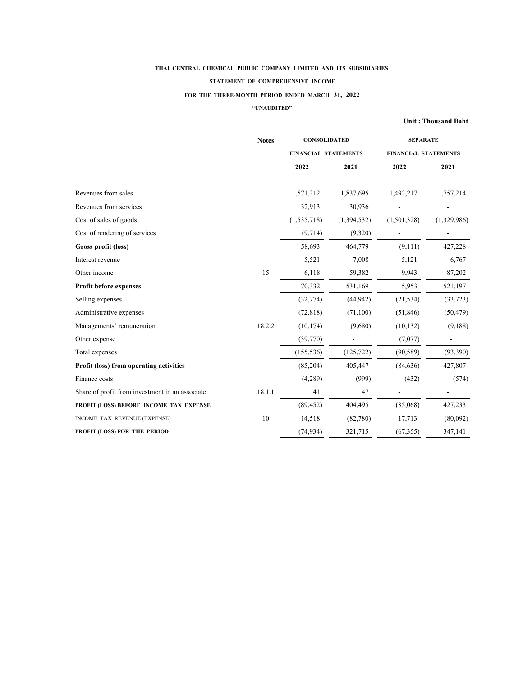#### **STATEMENT OF COMPREHENSIVE INCOME**

### **FOR THE THREE-MONTH PERIOD ENDED MARCH 31, 2022**

**"UNAUDITED"**

|                                                 |              |                             |             |                             | <b>Unit: Thousand Baht</b> |  |
|-------------------------------------------------|--------------|-----------------------------|-------------|-----------------------------|----------------------------|--|
|                                                 | <b>Notes</b> | <b>CONSOLIDATED</b>         |             | <b>SEPARATE</b>             |                            |  |
|                                                 |              | <b>FINANCIAL STATEMENTS</b> |             | <b>FINANCIAL STATEMENTS</b> |                            |  |
|                                                 |              | 2022                        | 2021        | 2022                        | 2021                       |  |
| Revenues from sales                             |              | 1,571,212                   | 1,837,695   | 1,492,217                   | 1,757,214                  |  |
| Revenues from services                          |              | 32,913                      | 30,936      |                             |                            |  |
| Cost of sales of goods                          |              | (1,535,718)                 | (1,394,532) | (1,501,328)                 | (1,329,986)                |  |
| Cost of rendering of services                   |              | (9, 714)                    | (9,320)     |                             |                            |  |
| Gross profit (loss)                             |              | 58,693                      | 464,779     | (9,111)                     | 427,228                    |  |
| Interest revenue                                |              | 5,521                       | 7,008       | 5,121                       | 6,767                      |  |
| Other income                                    | 15           | 6,118                       | 59,382      | 9,943                       | 87,202                     |  |
| <b>Profit before expenses</b>                   |              | 70,332                      | 531,169     | 5,953                       | 521,197                    |  |
| Selling expenses                                |              | (32, 774)                   | (44, 942)   | (21, 534)                   | (33, 723)                  |  |
| Administrative expenses                         |              | (72, 818)                   | (71,100)    | (51, 846)                   | (50, 479)                  |  |
| Managements' remuneration                       | 18.2.2       | (10, 174)                   | (9,680)     | (10, 132)                   | (9,188)                    |  |
| Other expense                                   |              | (39,770)                    |             | (7,077)                     |                            |  |
| Total expenses                                  |              | (155, 536)                  | (125, 722)  | (90, 589)                   | (93,390)                   |  |
| Profit (loss) from operating activities         |              | (85,204)                    | 405,447     | (84, 636)                   | 427,807                    |  |
| Finance costs                                   |              | (4,289)                     | (999)       | (432)                       | (574)                      |  |
| Share of profit from investment in an associate | 18.1.1       | 41                          | 47          |                             |                            |  |
| PROFIT (LOSS) BEFORE INCOME TAX EXPENSE         |              | (89, 452)                   | 404,495     | (85,068)                    | 427,233                    |  |
| INCOME TAX REVENUE (EXPENSE)                    | 10           | 14,518                      | (82,780)    | 17,713                      | (80,092)                   |  |
| PROFIT (LOSS) FOR THE PERIOD                    |              | (74, 934)                   | 321,715     | (67, 355)                   | 347,141                    |  |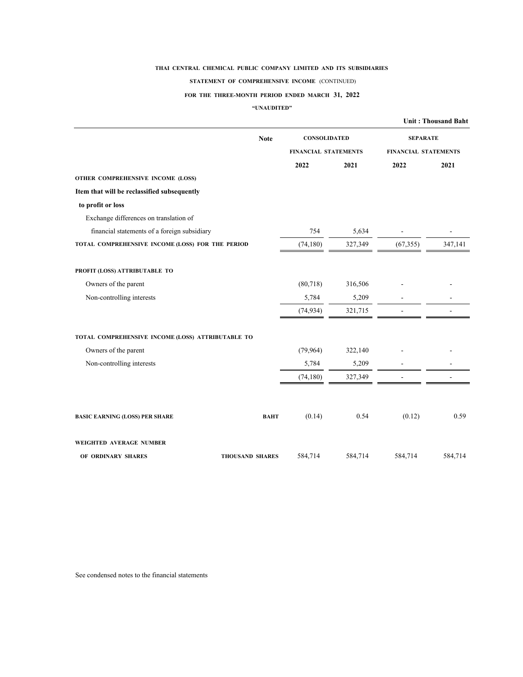#### **STATEMENT OF COMPREHENSIVE INCOME** (CONTINUED)

### **FOR THE THREE-MONTH PERIOD ENDED MARCH 31, 2022**

### **"UNAUDITED"**

|                                                   |                        |                             |         |                             | <b>Unit: Thousand Baht</b> |
|---------------------------------------------------|------------------------|-----------------------------|---------|-----------------------------|----------------------------|
|                                                   | <b>Note</b>            | <b>CONSOLIDATED</b>         |         | <b>SEPARATE</b>             |                            |
|                                                   |                        | <b>FINANCIAL STATEMENTS</b> |         | <b>FINANCIAL STATEMENTS</b> |                            |
|                                                   |                        | 2022                        | 2021    | 2022                        | 2021                       |
| OTHER COMPREHENSIVE INCOME (LOSS)                 |                        |                             |         |                             |                            |
| Item that will be reclassified subsequently       |                        |                             |         |                             |                            |
| to profit or loss                                 |                        |                             |         |                             |                            |
| Exchange differences on translation of            |                        |                             |         |                             |                            |
| financial statements of a foreign subsidiary      |                        | 754                         | 5,634   |                             |                            |
| TOTAL COMPREHENSIVE INCOME (LOSS) FOR THE PERIOD  |                        | (74, 180)                   | 327,349 | (67, 355)                   | 347,141                    |
| PROFIT (LOSS) ATTRIBUTABLE TO                     |                        |                             |         |                             |                            |
| Owners of the parent                              |                        | (80, 718)                   | 316,506 |                             |                            |
| Non-controlling interests                         |                        | 5,784                       | 5,209   |                             |                            |
|                                                   |                        | (74, 934)                   | 321,715 |                             |                            |
| TOTAL COMPREHENSIVE INCOME (LOSS) ATTRIBUTABLE TO |                        |                             |         |                             |                            |
| Owners of the parent                              |                        | (79,964)                    | 322,140 |                             |                            |
| Non-controlling interests                         |                        | 5,784                       | 5,209   |                             |                            |
|                                                   |                        | (74, 180)                   | 327,349 |                             |                            |
|                                                   |                        |                             |         |                             |                            |
| <b>BASIC EARNING (LOSS) PER SHARE</b>             | <b>BAHT</b>            | (0.14)                      | 0.54    | (0.12)                      | 0.59                       |
| WEIGHTED AVERAGE NUMBER                           |                        |                             |         |                             |                            |
| OF ORDINARY SHARES                                | <b>THOUSAND SHARES</b> | 584,714                     | 584,714 | 584,714                     | 584,714                    |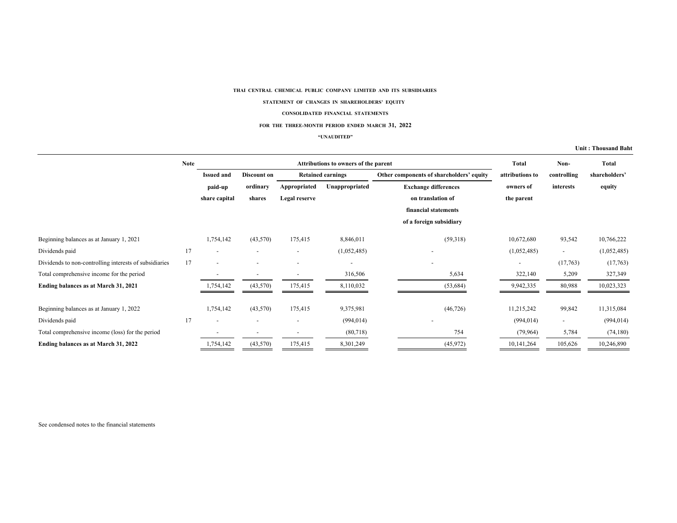#### **STATEMENT OF CHANGES IN SHAREHOLDERS' EQUITY**

#### **CONSOLIDATED FINANCIAL STATEMENTS**

#### **FOR THE THREE-MONTH PERIOD ENDED MARCH 31, 2022**

#### **"UNAUDITED"**

#### **Unit : Thousand Baht**

|                                                        | <b>Note</b> |                          | Attributions to owners of the parent |               |                          |                                          | <b>Total</b>             | Non-                     | Total         |
|--------------------------------------------------------|-------------|--------------------------|--------------------------------------|---------------|--------------------------|------------------------------------------|--------------------------|--------------------------|---------------|
|                                                        |             | <b>Issued and</b>        | <b>Discount on</b>                   |               | <b>Retained earnings</b> | Other components of shareholders' equity | attributions to          | controlling              | shareholders' |
|                                                        |             | paid-up                  | ordinary                             | Appropriated  | Unappropriated           | <b>Exchange differences</b>              | owners of                | interests                | equity        |
|                                                        |             | share capital            | shares                               | Legal reserve |                          | on translation of                        | the parent               |                          |               |
|                                                        |             |                          |                                      |               |                          | financial statements                     |                          |                          |               |
|                                                        |             |                          |                                      |               |                          | of a foreign subsidiary                  |                          |                          |               |
| Beginning balances as at January 1, 2021               |             | 1,754,142                | (43,570)                             | 175,415       | 8,846,011                | (59,318)                                 | 10,672,680               | 93,542                   | 10,766,222    |
| Dividends paid                                         | 17          | $\overline{\phantom{a}}$ |                                      | ٠             | (1,052,485)              | ٠                                        | (1,052,485)              | $\overline{\phantom{a}}$ | (1,052,485)   |
| Dividends to non-controlling interests of subsidiaries | 17          |                          |                                      |               | ٠                        | $\overline{\phantom{0}}$                 | $\overline{\phantom{0}}$ | (17,763)                 | (17,763)      |
| Total comprehensive income for the period              |             |                          |                                      |               | 316,506                  | 5,634                                    | 322,140                  | 5,209                    | 327,349       |
| Ending balances as at March 31, 2021                   |             | 1,754,142                | (43,570)                             | 175,415       | 8,110,032                | (53, 684)                                | 9,942,335                | 80,988                   | 10,023,323    |
| Beginning balances as at January 1, 2022               |             | 1,754,142                | (43,570)                             | 175,415       | 9,375,981                | (46, 726)                                | 11,215,242               | 99,842                   | 11,315,084    |
| Dividends paid                                         | 17          |                          |                                      |               | (994, 014)               |                                          | (994, 014)               | $\overline{\phantom{a}}$ | (994, 014)    |
| Total comprehensive income (loss) for the period       |             |                          |                                      |               | (80,718)                 | 754                                      | (79, 964)                | 5,784                    | (74, 180)     |
| Ending balances as at March 31, 2022                   |             | 1,754,142                | (43,570)                             | 175,415       | 8,301,249                | (45, 972)                                | 10,141,264               | 105,626                  | 10,246,890    |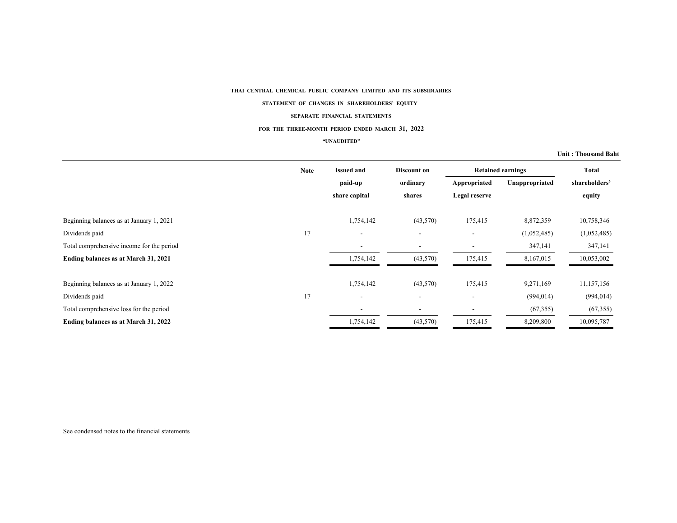#### **STATEMENT OF CHANGES IN SHAREHOLDERS' EQUITY**

#### **SEPARATE FINANCIAL STATEMENTS**

#### **FOR THE THREE-MONTH PERIOD ENDED MARCH 31, 2022**

#### **"UNAUDITED"**

#### **Unit : Thousand Baht**

|                                           | <b>Note</b> | <b>Issued and</b>        | Discount on              | <b>Retained earnings</b> |                | <b>Total</b>  |
|-------------------------------------------|-------------|--------------------------|--------------------------|--------------------------|----------------|---------------|
|                                           |             | paid-up                  | ordinary                 | Appropriated             | Unappropriated | shareholders' |
|                                           |             | share capital            | shares                   | Legal reserve            |                | equity        |
| Beginning balances as at January 1, 2021  |             | 1,754,142                | (43,570)                 | 175,415                  | 8,872,359      | 10,758,346    |
| Dividends paid                            | 17          | $\overline{\phantom{a}}$ | $\overline{\phantom{a}}$ | $\overline{\phantom{a}}$ | (1,052,485)    | (1,052,485)   |
| Total comprehensive income for the period |             | $\overline{\phantom{a}}$ | ۰                        |                          | 347,141        | 347,141       |
| Ending balances as at March 31, 2021      |             | 1,754,142                | (43,570)                 | 175,415                  | 8,167,015      | 10,053,002    |
| Beginning balances as at January 1, 2022  |             | 1,754,142                | (43,570)                 | 175,415                  | 9,271,169      | 11,157,156    |
| Dividends paid                            | 17          | $\overline{\phantom{a}}$ | $\overline{\phantom{a}}$ | $\overline{\phantom{a}}$ | (994, 014)     | (994, 014)    |
| Total comprehensive loss for the period   |             | $\overline{\phantom{a}}$ | $\overline{\phantom{a}}$ | $\overline{\phantom{a}}$ | (67,355)       | (67, 355)     |
| Ending balances as at March 31, 2022      |             | 1,754,142                | (43,570)                 | 175,415                  | 8,209,800      | 10,095,787    |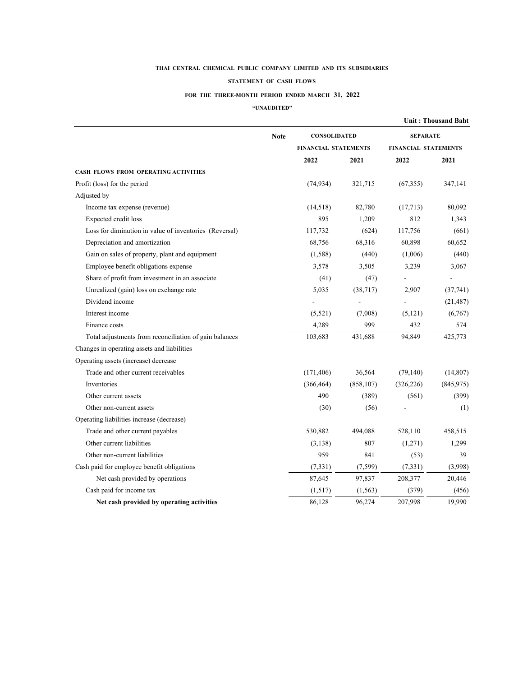#### **STATEMENT OF CASH FLOWS**

### **FOR THE THREE-MONTH PERIOD ENDED MARCH 31, 2022**

### **"UNAUDITED"**

|                                                        |             |                             |            |                      | <b>Unit: Thousand Baht</b> |
|--------------------------------------------------------|-------------|-----------------------------|------------|----------------------|----------------------------|
|                                                        | <b>Note</b> | <b>CONSOLIDATED</b>         |            | <b>SEPARATE</b>      |                            |
|                                                        |             | <b>FINANCIAL STATEMENTS</b> |            | FINANCIAL STATEMENTS |                            |
|                                                        |             | 2022                        | 2021       | 2022                 | 2021                       |
| CASH FLOWS FROM OPERATING ACTIVITIES                   |             |                             |            |                      |                            |
| Profit (loss) for the period                           |             | (74, 934)                   | 321,715    | (67,355)             | 347,141                    |
| Adjusted by                                            |             |                             |            |                      |                            |
| Income tax expense (revenue)                           |             | (14,518)                    | 82,780     | (17,713)             | 80,092                     |
| Expected credit loss                                   |             | 895                         | 1,209      | 812                  | 1,343                      |
| Loss for diminution in value of inventories (Reversal) |             | 117,732                     | (624)      | 117,756              | (661)                      |
| Depreciation and amortization                          |             | 68,756                      | 68,316     | 60,898               | 60,652                     |
| Gain on sales of property, plant and equipment         |             | (1,588)                     | (440)      | (1,006)              | (440)                      |
| Employee benefit obligations expense                   |             | 3,578                       | 3,505      | 3,239                | 3,067                      |
| Share of profit from investment in an associate        |             | (41)                        | (47)       |                      |                            |
| Unrealized (gain) loss on exchange rate                |             | 5,035                       | (38, 717)  | 2,907                | (37, 741)                  |
| Dividend income                                        |             |                             |            |                      | (21, 487)                  |
| Interest income                                        |             | (5,521)                     | (7,008)    | (5, 121)             | (6,767)                    |
| Finance costs                                          |             | 4,289                       | 999        | 432                  | 574                        |
| Total adjustments from reconciliation of gain balances |             | 103,683                     | 431,688    | 94,849               | 425,773                    |
| Changes in operating assets and liabilities            |             |                             |            |                      |                            |
| Operating assets (increase) decrease                   |             |                             |            |                      |                            |
| Trade and other current receivables                    |             | (171, 406)                  | 36,564     | (79, 140)            | (14, 807)                  |
| Inventories                                            |             | (366, 464)                  | (858, 107) | (326, 226)           | (845, 975)                 |
| Other current assets                                   |             | 490                         | (389)      | (561)                | (399)                      |
| Other non-current assets                               |             | (30)                        | (56)       |                      | (1)                        |
| Operating liabilities increase (decrease)              |             |                             |            |                      |                            |
| Trade and other current payables                       |             | 530,882                     | 494,088    | 528,110              | 458,515                    |
| Other current liabilities                              |             | (3, 138)                    | 807        | (1,271)              | 1,299                      |
| Other non-current liabilities                          |             | 959                         | 841        | (53)                 | 39                         |
| Cash paid for employee benefit obligations             |             | (7,331)                     | (7, 599)   | (7, 331)             | (3,998)                    |
| Net cash provided by operations                        |             | 87,645                      | 97,837     | 208,377              | 20,446                     |
| Cash paid for income tax                               |             | (1,517)                     | (1, 563)   | (379)                | (456)                      |
| Net cash provided by operating activities              |             | 86,128                      | 96,274     | 207,998              | 19.990                     |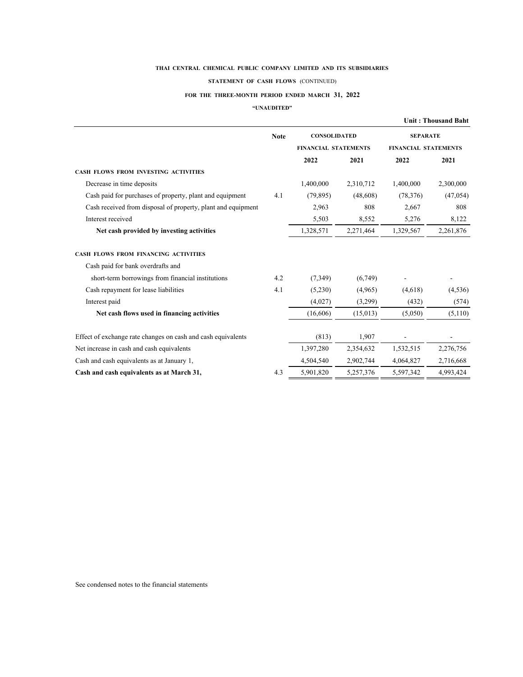#### **STATEMENT OF CASH FLOWS** (CONTINUED)

### **FOR THE THREE-MONTH PERIOD ENDED MARCH 31, 2022**

### **"UNAUDITED"**

|                                                              |             |                             |           |                             | <b>Unit: Thousand Baht</b> |
|--------------------------------------------------------------|-------------|-----------------------------|-----------|-----------------------------|----------------------------|
|                                                              | <b>Note</b> | <b>CONSOLIDATED</b>         |           | <b>SEPARATE</b>             |                            |
|                                                              |             | <b>FINANCIAL STATEMENTS</b> |           | <b>FINANCIAL STATEMENTS</b> |                            |
|                                                              |             | 2022                        | 2021      | 2022                        | 2021                       |
| <b>CASH FLOWS FROM INVESTING ACTIVITIES</b>                  |             |                             |           |                             |                            |
| Decrease in time deposits                                    |             | 1,400,000                   | 2,310,712 | 1,400,000                   | 2,300,000                  |
| Cash paid for purchases of property, plant and equipment     | 4.1         | (79, 895)                   | (48,608)  | (78, 376)                   | (47, 054)                  |
| Cash received from disposal of property, plant and equipment |             | 2,963                       | 808       | 2,667                       | 808                        |
| Interest received                                            |             | 5,503                       | 8,552     | 5,276                       | 8,122                      |
| Net cash provided by investing activities                    |             | 1,328,571                   | 2,271,464 | 1,329,567                   | 2,261,876                  |
| CASH FLOWS FROM FINANCING ACTIVITIES                         |             |                             |           |                             |                            |
| Cash paid for bank overdrafts and                            |             |                             |           |                             |                            |
| short-term borrowings from financial institutions            | 4.2         | (7,349)                     | (6,749)   |                             |                            |
| Cash repayment for lease liabilities                         | 4.1         | (5,230)                     | (4,965)   | (4,618)                     | (4,536)                    |
| Interest paid                                                |             | (4,027)                     | (3,299)   | (432)                       | (574)                      |
| Net cash flows used in financing activities                  |             | (16,606)                    | (15,013)  | (5,050)                     | (5,110)                    |
| Effect of exchange rate changes on cash and cash equivalents |             | (813)                       | 1,907     |                             |                            |
| Net increase in cash and cash equivalents                    |             | 1,397,280                   | 2,354,632 | 1,532,515                   | 2,276,756                  |
| Cash and cash equivalents as at January 1,                   |             | 4,504,540                   | 2,902,744 | 4,064,827                   | 2,716,668                  |
| Cash and cash equivalents as at March 31,                    | 4.3         | 5,901,820                   | 5,257,376 | 5,597,342                   | 4,993,424                  |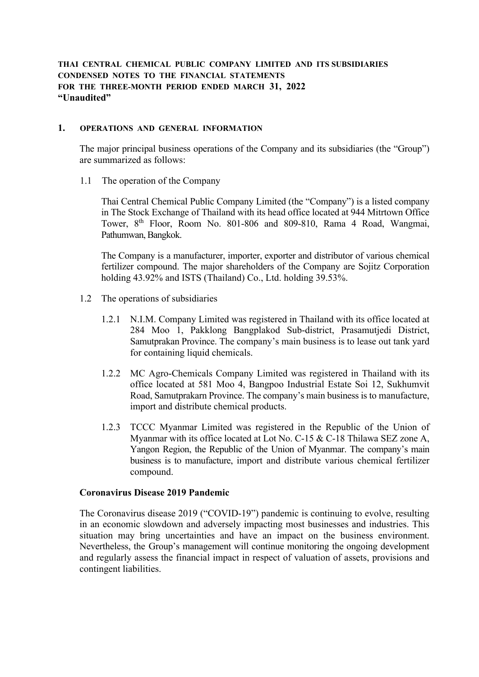# **THAI CENTRAL CHEMICAL PUBLIC COMPANY LIMITED AND ITS SUBSIDIARIES CONDENSED NOTES TO THE FINANCIAL STATEMENTS FOR THE THREE-MONTH PERIOD ENDED MARCH 31, 2022 "Unaudited"**

# **1. OPERATIONS AND GENERAL INFORMATION**

The major principal business operations of the Company and its subsidiaries (the "Group") are summarized as follows:

1.1 The operation of the Company

Thai Central Chemical Public Company Limited (the "Company") is a listed company in The Stock Exchange of Thailand with its head office located at 944 Mitrtown Office Tower, 8th Floor, Room No. 801-806 and 809-810, Rama 4 Road, Wangmai, Pathumwan, Bangkok.

The Company is a manufacturer, importer, exporter and distributor of various chemical fertilizer compound. The major shareholders of the Company are Sojitz Corporation holding 43.92% and ISTS (Thailand) Co., Ltd. holding 39.53%.

- 1.2 The operations of subsidiaries
	- 1.2.1 N.I.M. Company Limited was registered in Thailand with its office located at 284 Moo 1, Pakklong Bangplakod Sub-district, Prasamutjedi District, Samutprakan Province. The company's main business is to lease out tank yard for containing liquid chemicals.
	- 1.2.2 MC Agro-Chemicals Company Limited was registered in Thailand with its office located at 581 Moo 4, Bangpoo Industrial Estate Soi 12, Sukhumvit Road, Samutprakarn Province. The company's main business is to manufacture, import and distribute chemical products.
	- 1.2.3 TCCC Myanmar Limited was registered in the Republic of the Union of Myanmar with its office located at Lot No. C-15 & C-18 Thilawa SEZ zone A, Yangon Region, the Republic of the Union of Myanmar. The company's main business is to manufacture, import and distribute various chemical fertilizer compound.

# **Coronavirus Disease 2019 Pandemic**

The Coronavirus disease 2019 ("COVID-19") pandemic is continuing to evolve, resulting in an economic slowdown and adversely impacting most businesses and industries. This situation may bring uncertainties and have an impact on the business environment. Nevertheless, the Group's management will continue monitoring the ongoing development and regularly assess the financial impact in respect of valuation of assets, provisions and contingent liabilities.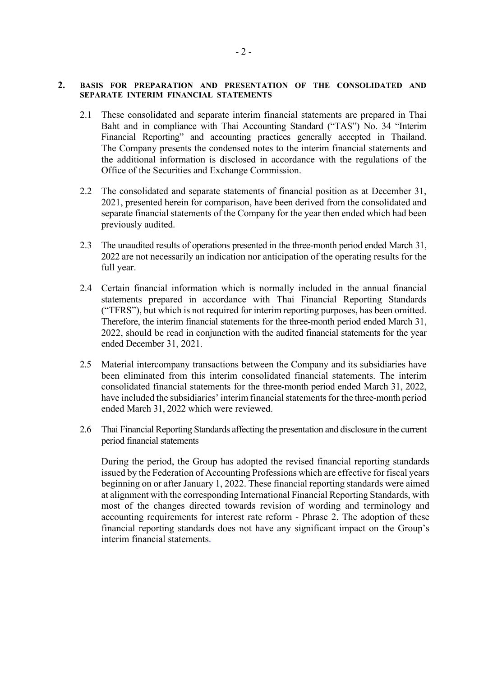## **2. BASIS FOR PREPARATION AND PRESENTATION OF THE CONSOLIDATED AND SEPARATE INTERIM FINANCIAL STATEMENTS**

- 2.1 These consolidated and separate interim financial statements are prepared in Thai Baht and in compliance with Thai Accounting Standard ("TAS") No. 34 "Interim Financial Reporting" and accounting practices generally accepted in Thailand. The Company presents the condensed notes to the interim financial statements and the additional information is disclosed in accordance with the regulations of the Office of the Securities and Exchange Commission.
- 2.2 The consolidated and separate statements of financial position as at December 31, 2021, presented herein for comparison, have been derived from the consolidated and separate financial statements of the Company for the year then ended which had been previously audited.
- 2.3 The unaudited results of operations presented in the three-month period ended March 31, 2022 are not necessarily an indication nor anticipation of the operating results for the full year.
- 2.4 Certain financial information which is normally included in the annual financial statements prepared in accordance with Thai Financial Reporting Standards ("TFRS"), but which is not required for interim reporting purposes, has been omitted. Therefore, the interim financial statements for the three-month period ended March 31, 2022, should be read in conjunction with the audited financial statements for the year ended December 31, 2021.
- 2.5 Material intercompany transactions between the Company and its subsidiaries have been eliminated from this interim consolidated financial statements. The interim consolidated financial statements for the three-month period ended March 31, 2022, have included the subsidiaries' interim financial statements for the three-month period ended March 31, 2022 which were reviewed.
- 2.6 Thai Financial Reporting Standards affecting the presentation and disclosure in the current period financial statements

During the period, the Group has adopted the revised financial reporting standards issued by the Federation of Accounting Professions which are effective for fiscal years beginning on or after January 1, 2022. These financial reporting standards were aimed at alignment with the corresponding International Financial Reporting Standards, with most of the changes directed towards revision of wording and terminology and accounting requirements for interest rate reform - Phrase 2. The adoption of these financial reporting standards does not have any significant impact on the Group's interim financial statements.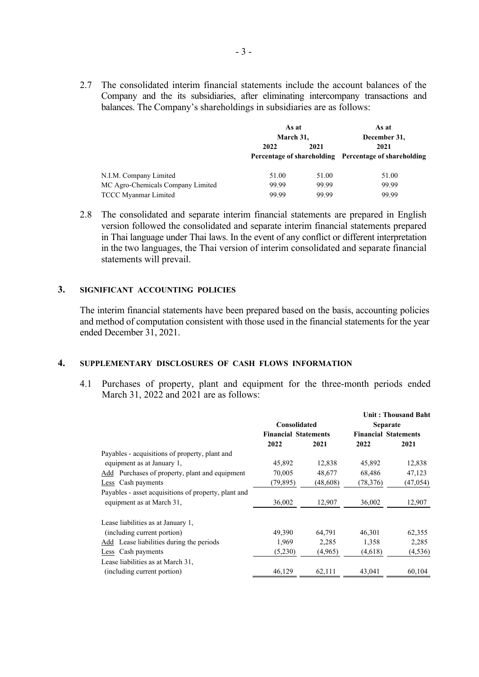2.7 The consolidated interim financial statements include the account balances of the Company and the its subsidiaries, after eliminating intercompany transactions and balances. The Company's shareholdings in subsidiaries are as follows:

|                                   | As at     |       | As at                                                 |
|-----------------------------------|-----------|-------|-------------------------------------------------------|
|                                   | March 31, |       | December 31,                                          |
|                                   | 2022      | 2021  | 2021                                                  |
|                                   |           |       | Percentage of shareholding Percentage of shareholding |
| N.I.M. Company Limited            | 51.00     | 51.00 | 51.00                                                 |
| MC Agro-Chemicals Company Limited | 99.99     | 99.99 | 99.99                                                 |
| <b>TCCC Myanmar Limited</b>       | 99.99     | 99.99 | 99.99                                                 |

2.8 The consolidated and separate interim financial statements are prepared in English version followed the consolidated and separate interim financial statements prepared in Thai language under Thai laws. In the event of any conflict or different interpretation in the two languages, the Thai version of interim consolidated and separate financial statements will prevail.

## **3. SIGNIFICANT ACCOUNTING POLICIES**

The interim financial statements have been prepared based on the basis, accounting policies and method of computation consistent with those used in the financial statements for the year ended December 31, 2021.

## **4. SUPPLEMENTARY DISCLOSURES OF CASH FLOWS INFORMATION**

4.1 Purchases of property, plant and equipment for the three-month periods ended March 31, 2022 and 2021 are as follows:

|                                                      |                             |           |                             | <b>Unit: Thousand Baht</b> |  |
|------------------------------------------------------|-----------------------------|-----------|-----------------------------|----------------------------|--|
|                                                      | Consolidated                |           | <b>Separate</b>             |                            |  |
|                                                      | <b>Financial Statements</b> |           | <b>Financial Statements</b> |                            |  |
|                                                      | 2022                        | 2021      | 2022                        | 2021                       |  |
| Payables - acquisitions of property, plant and       |                             |           |                             |                            |  |
| equipment as at January 1,                           | 45,892                      | 12,838    | 45,892                      | 12,838                     |  |
| Add Purchases of property, plant and equipment       | 70,005                      | 48,677    | 68,486                      | 47,123                     |  |
| Less Cash payments                                   | (79, 895)                   | (48, 608) | (78, 376)                   | (47, 054)                  |  |
| Payables - asset acquisitions of property, plant and |                             |           |                             |                            |  |
| equipment as at March 31,                            | 36,002                      | 12,907    | 36,002                      | 12,907                     |  |
| Lease liabilities as at January 1,                   |                             |           |                             |                            |  |
| (including current portion)                          | 49,390                      | 64,791    | 46,301                      | 62,355                     |  |
| Add Lease liabilities during the periods             | 1,969                       | 2,285     | 1,358                       | 2,285                      |  |
| Less Cash payments                                   | (5,230)                     | (4,965)   | (4,618)                     | (4, 536)                   |  |
| Lease liabilities as at March 31,                    |                             |           |                             |                            |  |
| (including current portion)                          | 46,129                      | 62,111    | 43,041                      | 60,104                     |  |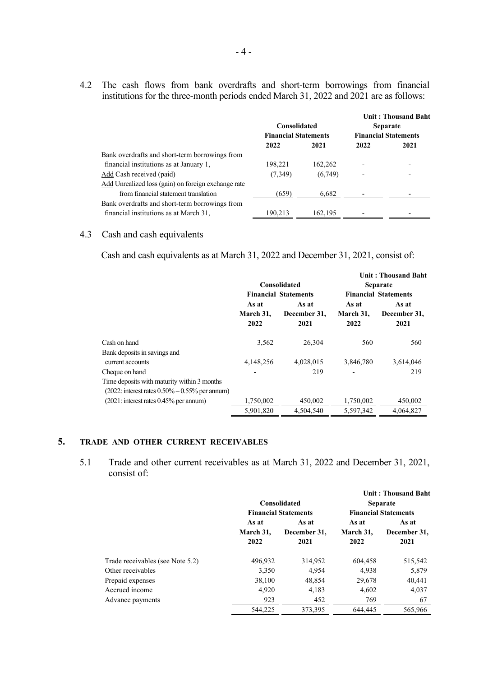4.2 The cash flows from bank overdrafts and short-term borrowings from financial institutions for the three-month periods ended March 31, 2022 and 2021 are as follows:

| <b>Consolidated</b><br><b>Financial Statements</b> |         | <b>Unit: Thousand Baht</b><br><b>Separate</b><br><b>Financial Statements</b> |      |
|----------------------------------------------------|---------|------------------------------------------------------------------------------|------|
| 2022                                               | 2021    | 2022                                                                         | 2021 |
|                                                    |         |                                                                              |      |
| 198,221                                            | 162,262 |                                                                              |      |
| (7,349)                                            | (6,749) |                                                                              |      |
|                                                    |         |                                                                              |      |
| (659)                                              | 6,682   |                                                                              |      |
|                                                    |         |                                                                              |      |
| 190,213                                            | 162,195 |                                                                              |      |
|                                                    |         |                                                                              |      |

## 4.3 Cash and cash equivalents

Cash and cash equivalents as at March 31, 2022 and December 31, 2021, consist of:

|                                                      |           |                             |              | Unit: Thousand Baht         |              |
|------------------------------------------------------|-----------|-----------------------------|--------------|-----------------------------|--------------|
|                                                      |           | Consolidated                |              | <b>Separate</b>             |              |
|                                                      |           | <b>Financial Statements</b> |              | <b>Financial Statements</b> |              |
|                                                      | As at     | As at                       | As at        | As at                       |              |
|                                                      | March 31, |                             | December 31, | March 31,                   | December 31, |
|                                                      | 2022      | 2021                        | 2022         | 2021                        |              |
| Cash on hand                                         | 3,562     | 26,304                      | 560          | 560                         |              |
| Bank deposits in savings and                         |           |                             |              |                             |              |
| current accounts                                     | 4,148,256 | 4,028,015                   | 3,846,780    | 3,614,046                   |              |
| Cheque on hand                                       |           | 219                         |              | 219                         |              |
| Time deposits with maturity within 3 months          |           |                             |              |                             |              |
| $(2022:$ interest rates $0.50\% - 0.55\%$ per annum) |           |                             |              |                             |              |
| $(2021:$ interest rates $0.45\%$ per annum)          | 1,750,002 | 450,002                     | 1,750,002    | 450,002                     |              |
|                                                      | 5,901,820 | 4,504,540                   | 5,597,342    | 4,064,827                   |              |

# **5. TRADE AND OTHER CURRENT RECEIVABLES**

5.1 Trade and other current receivables as at March 31, 2022 and December 31, 2021, consist of:

|                                  | <b>Consolidated</b><br><b>Financial Statements</b> |              |           | <b>Unit: Thousand Baht</b><br><b>Separate</b><br><b>Financial Statements</b> |
|----------------------------------|----------------------------------------------------|--------------|-----------|------------------------------------------------------------------------------|
|                                  | As at                                              | As at        | As at     | As at                                                                        |
|                                  | March 31.                                          | December 31. | March 31. | December 31,                                                                 |
|                                  | 2022                                               | 2021         | 2022      | 2021                                                                         |
| Trade receivables (see Note 5.2) | 496,932                                            | 314,952      | 604,458   | 515,542                                                                      |
| Other receivables                | 3,350                                              | 4,954        | 4,938     | 5,879                                                                        |
| Prepaid expenses                 | 38,100                                             | 48,854       | 29,678    | 40,441                                                                       |
| Accrued income                   | 4.920                                              | 4,183        | 4,602     | 4,037                                                                        |
| Advance payments                 | 923                                                | 452          | 769       | 67                                                                           |
|                                  | 544,225                                            | 373,395      | 644,445   | 565,966                                                                      |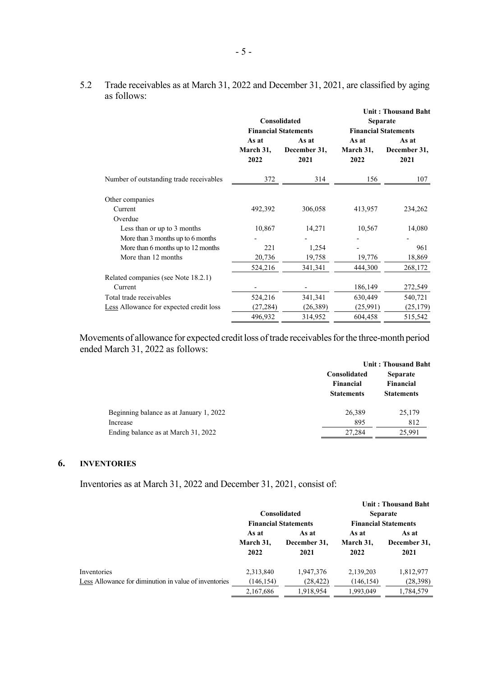|                                         |                            | Consolidated<br><b>Financial Statements</b> |                            | <b>Unit: Thousand Baht</b><br>Separate<br><b>Financial Statements</b> |
|-----------------------------------------|----------------------------|---------------------------------------------|----------------------------|-----------------------------------------------------------------------|
|                                         | As at<br>March 31,<br>2022 | As at<br>December 31,<br>2021               | As at<br>March 31,<br>2022 | As at<br>December 31,<br>2021                                         |
| Number of outstanding trade receivables | 372                        | 314                                         | 156                        | 107                                                                   |
| Other companies                         |                            |                                             |                            |                                                                       |
| Current                                 | 492,392                    | 306,058                                     | 413,957                    | 234,262                                                               |
| Overdue                                 |                            |                                             |                            |                                                                       |
| Less than or up to 3 months             | 10,867                     | 14,271                                      | 10,567                     | 14,080                                                                |
| More than 3 months up to 6 months       |                            |                                             |                            |                                                                       |
| More than 6 months up to 12 months      | 221                        | 1,254                                       |                            | 961                                                                   |
| More than 12 months                     | 20,736                     | 19,758                                      | 19,776                     | 18,869                                                                |
|                                         | 524,216                    | 341, 341                                    | 444,300                    | 268,172                                                               |
| Related companies (see Note 18.2.1)     |                            |                                             |                            |                                                                       |
| Current                                 |                            |                                             | 186,149                    | 272,549                                                               |
| Total trade receivables                 | 524,216                    | 341,341                                     | 630,449                    | 540,721                                                               |
| Less Allowance for expected credit loss | (27, 284)                  | (26,389)                                    | (25,991)                   | (25, 179)                                                             |
|                                         | 496,932                    | 314,952                                     | 604,458                    | 515,542                                                               |

5.2 Trade receivables as at March 31, 2022 and December 31, 2021, are classified by aging as follows:

Movements of allowance for expected credit loss of trade receivables for the three-month period ended March 31, 2022 as follows:

|                                         | <b>Unit: Thousand Baht</b>                     |                                                   |  |  |
|-----------------------------------------|------------------------------------------------|---------------------------------------------------|--|--|
|                                         | Consolidated<br>Financial<br><b>Statements</b> | <b>Separate</b><br>Financial<br><b>Statements</b> |  |  |
| Beginning balance as at January 1, 2022 | 26,389                                         | 25,179                                            |  |  |
| Increase                                | 895                                            | 812                                               |  |  |
| Ending balance as at March 31, 2022     | 27.284                                         | 25,991                                            |  |  |

# **6. INVENTORIES**

Inventories as at March 31, 2022 and December 31, 2021, consist of:

|                                                       |                             |              |                             | <b>Unit: Thousand Baht</b> |              |
|-------------------------------------------------------|-----------------------------|--------------|-----------------------------|----------------------------|--------------|
|                                                       |                             | Consolidated |                             | <b>Separate</b>            |              |
|                                                       | <b>Financial Statements</b> |              | <b>Financial Statements</b> |                            |              |
|                                                       | As at                       | As at        | As at                       | As at                      |              |
|                                                       | March 31,                   |              | December 31,                | March 31,                  | December 31, |
|                                                       | 2022                        | 2021         | 2022                        | 2021                       |              |
| Inventories                                           | 2,313,840                   | 1,947,376    | 2,139,203                   | 1,812,977                  |              |
| Less Allowance for diminution in value of inventories | (146, 154)                  | (28, 422)    | (146, 154)                  | (28,398)                   |              |
|                                                       | 2,167,686                   | 1,918,954    | 1,993,049                   | 1,784,579                  |              |
|                                                       |                             |              |                             |                            |              |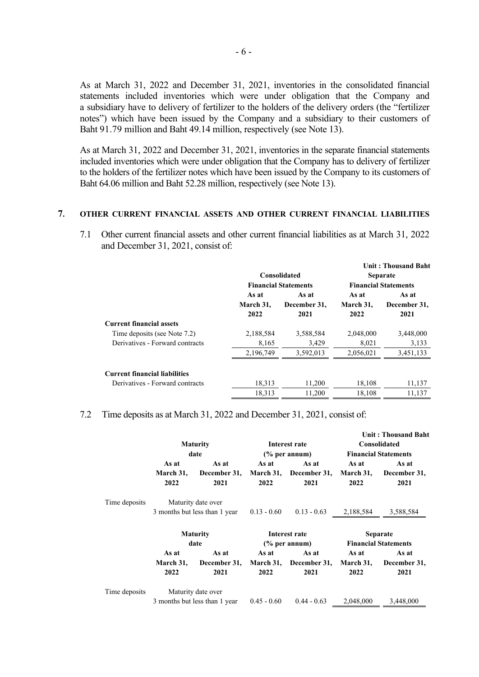As at March 31, 2022 and December 31, 2021, inventories in the consolidated financial statements included inventories which were under obligation that the Company and a subsidiary have to delivery of fertilizer to the holders of the delivery orders (the "fertilizer notes") which have been issued by the Company and a subsidiary to their customers of Baht 91.79 million and Baht 49.14 million, respectively (see Note 13).

As at March 31, 2022 and December 31, 2021, inventories in the separate financial statements included inventories which were under obligation that the Company has to delivery of fertilizer to the holders of the fertilizer notes which have been issued by the Company to its customers of Baht 64.06 million and Baht 52.28 million, respectively (see Note 13).

## **7. OTHER CURRENT FINANCIAL ASSETS AND OTHER CURRENT FINANCIAL LIABILITIES**

7.1 Other current financial assets and other current financial liabilities as at March 31, 2022 and December 31, 2021, consist of:

|                                      |           |                             |           | Unit: Thousand Baht         |
|--------------------------------------|-----------|-----------------------------|-----------|-----------------------------|
|                                      |           | Consolidated                |           | <b>Separate</b>             |
|                                      |           | <b>Financial Statements</b> |           | <b>Financial Statements</b> |
|                                      | As at     | As at                       | As at     | As at                       |
|                                      | March 31, | December 31,                | March 31. | December 31,                |
|                                      | 2022      | 2021                        | 2022      | 2021                        |
| <b>Current financial assets</b>      |           |                             |           |                             |
| Time deposits (see Note 7.2)         | 2,188,584 | 3,588,584                   | 2,048,000 | 3,448,000                   |
| Derivatives - Forward contracts      | 8,165     | 3,429                       | 8,021     | 3,133                       |
|                                      | 2,196,749 | 3,592,013                   | 2,056,021 | 3,451,133                   |
| <b>Current financial liabilities</b> |           |                             |           |                             |
| Derivatives - Forward contracts      | 18,313    | 11,200                      | 18,108    | 11,137                      |
|                                      | 18,313    | 11.200                      | 18.108    | 11.137                      |

## 7.2 Time deposits as at March 31, 2022 and December 31, 2021, consist of:

|               |                            | <b>Maturity</b><br>date                             |               | Interest rate<br>$\frac{6}{6}$ per annum) |                            | <b>Unit: Thousand Baht</b><br>Consolidated<br><b>Financial Statements</b> |
|---------------|----------------------------|-----------------------------------------------------|---------------|-------------------------------------------|----------------------------|---------------------------------------------------------------------------|
|               | As at<br>March 31,<br>2022 | As at<br>December 31,<br>2021                       | As at<br>2022 | As at<br>March 31, December 31,<br>2021   | As at<br>March 31,<br>2022 | As at<br>December 31,<br>2021                                             |
| Time deposits |                            | Maturity date over<br>3 months but less than 1 year | $0.13 - 0.60$ | $0.13 - 0.63$                             | 2,188,584                  | 3,588,584                                                                 |
|               |                            | <b>Maturity</b>                                     |               | Interest rate                             |                            | <b>Separate</b>                                                           |
|               |                            | date                                                |               | $\frac{6}{6}$ per annum)                  |                            | <b>Financial Statements</b>                                               |
|               | As at<br>March 31,<br>2022 | As at<br>December 31,<br>2021                       | As at<br>2022 | As at<br>March 31, December 31,<br>2021   | As at<br>March 31,<br>2022 | As at<br>December 31,<br>2021                                             |
| Time deposits |                            | Maturity date over<br>3 months but less than 1 year | $0.45 - 0.60$ | $0.44 - 0.63$                             | 2,048,000                  | 3,448,000                                                                 |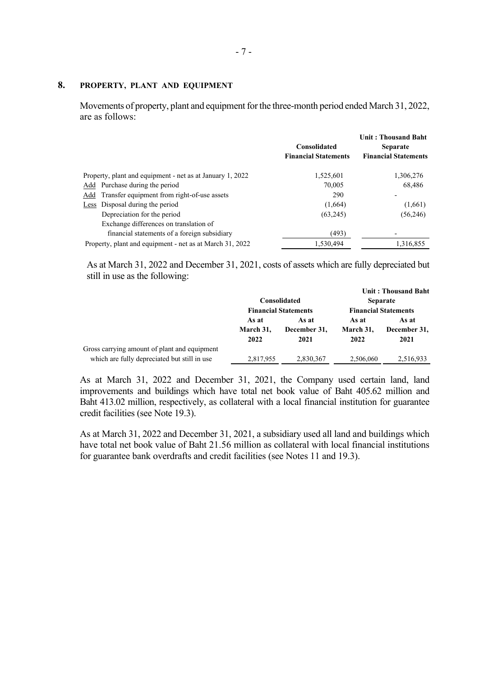# **8. PROPERTY, PLANT AND EQUIPMENT**

Movements of property, plant and equipment for the three-month period ended March 31, 2022, are as follows:

|                                                           | <b>Consolidated</b><br><b>Financial Statements</b> | <b>Unit: Thousand Baht</b><br><b>Separate</b><br><b>Financial Statements</b> |
|-----------------------------------------------------------|----------------------------------------------------|------------------------------------------------------------------------------|
| Property, plant and equipment - net as at January 1, 2022 | 1,525,601                                          | 1,306,276                                                                    |
| Add Purchase during the period                            | 70,005                                             | 68,486                                                                       |
| Add Transfer equipment from right-of-use assets           | 290                                                |                                                                              |
| Less Disposal during the period                           | (1,664)                                            | (1,661)                                                                      |
| Depreciation for the period                               | (63,245)                                           | (56,246)                                                                     |
| Exchange differences on translation of                    |                                                    |                                                                              |
| financial statements of a foreign subsidiary              | (493)                                              |                                                                              |
| Property, plant and equipment - net as at March 31, 2022  | 1,530,494                                          | 1,316,855                                                                    |

As at March 31, 2022 and December 31, 2021, costs of assets which are fully depreciated but still in use as the following:

|                                              |                             |              |                             | Unit: Thousand Baht |
|----------------------------------------------|-----------------------------|--------------|-----------------------------|---------------------|
|                                              |                             | Consolidated |                             | <b>Separate</b>     |
|                                              | <b>Financial Statements</b> |              | <b>Financial Statements</b> |                     |
|                                              | As at                       | As at        | As at                       | As at               |
|                                              | March 31.                   | December 31. | March 31.                   | December 31,        |
|                                              | 2022                        | 2021         | 2022                        | 2021                |
| Gross carrying amount of plant and equipment |                             |              |                             |                     |
| which are fully depreciated but still in use | 2,817,955                   | 2,830,367    | 2,506,060                   | 2.516.933           |

As at March 31, 2022 and December 31, 2021, the Company used certain land, land improvements and buildings which have total net book value of Baht 405.62 million and Baht 413.02 million, respectively, as collateral with a local financial institution for guarantee credit facilities (see Note 19.3).

As at March 31, 2022 and December 31, 2021, a subsidiary used all land and buildings which have total net book value of Baht 21.56 million as collateral with local financial institutions for guarantee bank overdrafts and credit facilities (see Notes 11 and 19.3).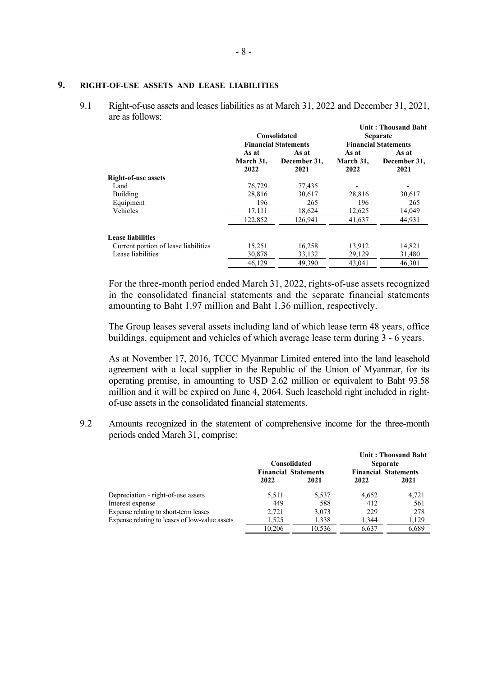## **9. RIGHT-OF-USE ASSETS AND LEASE LIABILITIES**

9.1 Right-of-use assets and leases liabilities as at March 31, 2022 and December 31, 2021, are as follows:

|                                      | Consolidated<br><b>Financial Statements</b> |                               |                            | <b>Unit: Thousand Baht</b><br><b>Separate</b><br><b>Financial Statements</b> |
|--------------------------------------|---------------------------------------------|-------------------------------|----------------------------|------------------------------------------------------------------------------|
|                                      | As at<br>March 31,<br>2022                  | As at<br>December 31,<br>2021 | As at<br>March 31,<br>2022 | As at<br>December 31,<br>2021                                                |
| <b>Right-of-use assets</b>           |                                             |                               |                            |                                                                              |
| Land                                 | 76,729                                      | 77,435                        |                            |                                                                              |
| Building                             | 28,816                                      | 30,617                        | 28,816                     | 30,617                                                                       |
| Equipment                            | 196                                         | 265                           | 196                        | 265                                                                          |
| Vehicles                             | 17,111                                      | 18,624                        | 12,625                     | 14,049                                                                       |
|                                      | 122,852                                     | 126.941                       | 41,637                     | 44,931                                                                       |
| <b>Lease liabilities</b>             |                                             |                               |                            |                                                                              |
| Current portion of lease liabilities | 15,251                                      | 16,258                        | 13,912                     | 14,821                                                                       |
| Lease liabilities                    | 30,878                                      | 33,132                        | 29,129                     | 31,480                                                                       |
|                                      | 46.129                                      | 49,390                        | 43,041                     | 46,301                                                                       |

For the three-month period ended March 31, 2022, rights-of-use assets recognized in the consolidated financial statements and the separate financial statements amounting to Baht 1.97 million and Baht 1.36 million, respectively.

The Group leases several assets including land of which lease term 48 years, office buildings, equipment and vehicles of which average lease term during 3 - 6 years.

As at November 17, 2016, TCCC Myanmar Limited entered into the land leasehold agreement with a local supplier in the Republic of the Union of Myanmar, for its operating premise, in amounting to USD 2.62 million or equivalent to Baht 93.58 million and it will be expired on June 4, 2064. Such leasehold right included in rightof-use assets in the consolidated financial statements.

9.2 Amounts recognized in the statement of comprehensive income for the three-month periods ended March 31, comprise:

|                                                | Consolidated<br><b>Financial Statements</b> |        | Unit: Thousand Baht<br><b>Separate</b><br><b>Financial Statements</b> |       |
|------------------------------------------------|---------------------------------------------|--------|-----------------------------------------------------------------------|-------|
|                                                | 2022                                        | 2021   | 2022                                                                  | 2021  |
| Depreciation - right-of-use assets             | 5.511                                       | 5.537  | 4.652                                                                 | 4,721 |
| Interest expense                               | 449                                         | 588    | 412                                                                   | 561   |
| Expense relating to short-term leases          | 2.721                                       | 3,073  | 229                                                                   | 278   |
| Expense relating to leases of low-value assets | 1.525                                       | 1,338  | 1.344                                                                 | 1,129 |
|                                                | 10.206                                      | 10.536 | 6.637                                                                 | 6.689 |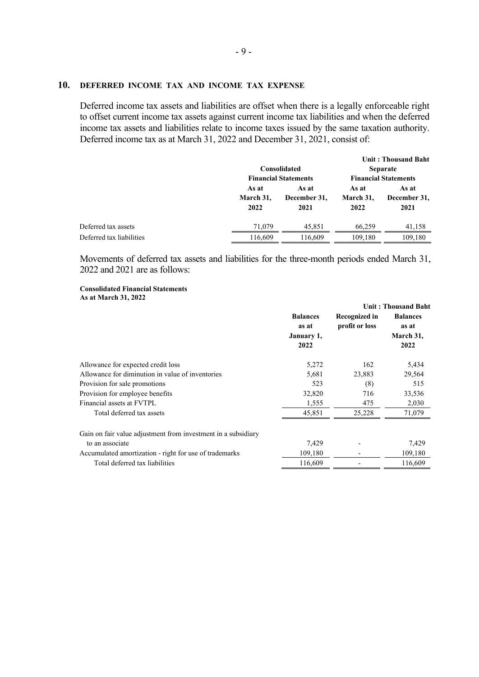## **10. DEFERRED INCOME TAX AND INCOME TAX EXPENSE**

Deferred income tax assets and liabilities are offset when there is a legally enforceable right to offset current income tax assets against current income tax liabilities and when the deferred income tax assets and liabilities relate to income taxes issued by the same taxation authority. Deferred income tax as at March 31, 2022 and December 31, 2021, consist of:

|                          |                            | Consolidated<br><b>Financial Statements</b> |                            | Unit: Thousand Baht<br><b>Separate</b><br><b>Financial Statements</b> |
|--------------------------|----------------------------|---------------------------------------------|----------------------------|-----------------------------------------------------------------------|
|                          | As at<br>March 31.<br>2022 | As at<br>December 31.<br>2021               | As at<br>March 31.<br>2022 | As at<br>December 31,<br>2021                                         |
| Deferred tax assets      | 71,079                     | 45.851                                      | 66.259                     | 41,158                                                                |
| Deferred tax liabilities | 116,609                    | 116,609                                     | 109,180                    | 109,180                                                               |

Movements of deferred tax assets and liabilities for the three-month periods ended March 31, 2022 and 2021 are as follows:

### **Consolidated Financial Statements As at March 31, 2022**

|                                                               |                                        | <b>Unit: Thousand Baht</b>             |                                       |  |
|---------------------------------------------------------------|----------------------------------------|----------------------------------------|---------------------------------------|--|
|                                                               | <b>Balances</b><br>as at<br>January 1, | <b>Recognized in</b><br>profit or loss | <b>Balances</b><br>as at<br>March 31, |  |
|                                                               | 2022                                   |                                        | 2022                                  |  |
| Allowance for expected credit loss                            | 5,272                                  | 162                                    | 5,434                                 |  |
| Allowance for diminution in value of inventories              | 5,681                                  | 23,883                                 | 29,564                                |  |
| Provision for sale promotions                                 | 523                                    | (8)                                    | 515                                   |  |
| Provision for employee benefits                               | 32,820                                 | 716                                    | 33,536                                |  |
| Financial assets at FVTPL                                     | 1,555                                  | 475                                    | 2,030                                 |  |
| Total deferred tax assets                                     | 45,851                                 | 25,228                                 | 71,079                                |  |
| Gain on fair value adjustment from investment in a subsidiary |                                        |                                        |                                       |  |
| to an associate                                               | 7,429                                  |                                        | 7,429                                 |  |
| Accumulated amortization - right for use of trademarks        | 109,180                                |                                        | 109,180                               |  |
| Total deferred tax liabilities                                | 116,609                                |                                        | 116,609                               |  |
|                                                               |                                        |                                        |                                       |  |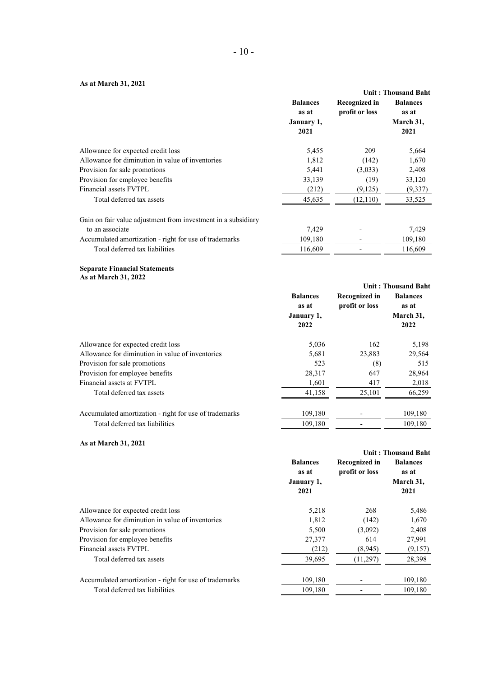## **As at March 31, 2021**

| 119 ut 17101 cm 014 2021                                      |                                                |                                 | <b>Unit: Thousand Baht</b>                    |
|---------------------------------------------------------------|------------------------------------------------|---------------------------------|-----------------------------------------------|
|                                                               | <b>Balances</b><br>as at<br>January 1,<br>2021 | Recognized in<br>profit or loss | <b>Balances</b><br>as at<br>March 31,<br>2021 |
| Allowance for expected credit loss                            | 5,455                                          | 209                             | 5,664                                         |
| Allowance for diminution in value of inventories              | 1,812                                          | (142)                           | 1,670                                         |
| Provision for sale promotions                                 | 5,441                                          | (3,033)                         | 2,408                                         |
| Provision for employee benefits                               | 33,139                                         | (19)                            | 33,120                                        |
| Financial assets FVTPL                                        | (212)                                          | (9,125)                         | (9, 337)                                      |
| Total deferred tax assets                                     | 45,635                                         | (12,110)                        | 33,525                                        |
| Gain on fair value adjustment from investment in a subsidiary |                                                |                                 |                                               |
| to an associate                                               | 7,429                                          |                                 | 7,429                                         |
| Accumulated amortization - right for use of trademarks        | 109,180                                        |                                 | 109,180                                       |
| Total deferred tax liabilities                                | 116,609                                        |                                 | 116,609                                       |

#### **Separate Financial Statements As at March 31, 2022**

|                                                        |                                        |                                 | <b>Unit: Thousand Baht</b>            |
|--------------------------------------------------------|----------------------------------------|---------------------------------|---------------------------------------|
|                                                        | <b>Balances</b><br>as at<br>January 1, | Recognized in<br>profit or loss | <b>Balances</b><br>as at<br>March 31, |
|                                                        | 2022                                   |                                 | 2022                                  |
| Allowance for expected credit loss                     | 5,036                                  | 162                             | 5,198                                 |
| Allowance for diminution in value of inventories       | 5,681                                  | 23,883                          | 29,564                                |
| Provision for sale promotions                          | 523                                    | (8)                             | 515                                   |
| Provision for employee benefits                        | 28,317                                 | 647                             | 28,964                                |
| Financial assets at FVTPL                              | 1,601                                  | 417                             | 2,018                                 |
| Total deferred tax assets                              | 41,158                                 | 25,101                          | 66,259                                |
| Accumulated amortization - right for use of trademarks | 109,180                                |                                 | 109,180                               |
| Total deferred tax liabilities                         | 109,180                                |                                 | 109,180                               |

## **As at March 31, 2021**

|                                                        |                                                |                                 | <b>Unit: Thousand Baht</b>                    |
|--------------------------------------------------------|------------------------------------------------|---------------------------------|-----------------------------------------------|
|                                                        | <b>Balances</b><br>as at<br>January 1,<br>2021 | Recognized in<br>profit or loss | <b>Balances</b><br>as at<br>March 31,<br>2021 |
| Allowance for expected credit loss                     | 5,218                                          | 268                             | 5,486                                         |
| Allowance for diminution in value of inventories       | 1,812                                          | (142)                           | 1,670                                         |
| Provision for sale promotions                          | 5,500                                          | (3,092)                         | 2,408                                         |
| Provision for employee benefits                        | 27,377                                         | 614                             | 27,991                                        |
| Financial assets FVTPL                                 | (212)                                          | (8,945)                         | (9,157)                                       |
| Total deferred tax assets                              | 39.695                                         | (11, 297)                       | 28,398                                        |
| Accumulated amortization - right for use of trademarks | 109,180                                        |                                 | 109,180                                       |
| Total deferred tax liabilities                         | 109.180                                        |                                 | 109,180                                       |
|                                                        |                                                |                                 |                                               |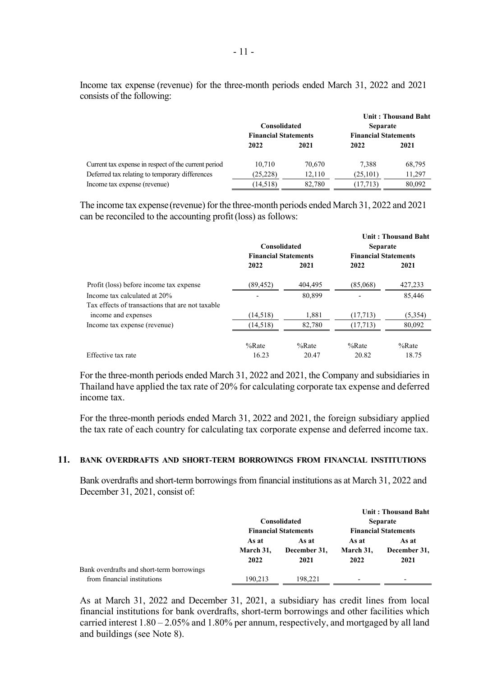Income tax expense (revenue) for the three-month periods ended March 31, 2022 and 2021 consists of the following:

|                                                      | Consolidated<br><b>Financial Statements</b> |        | <b>Separate</b><br><b>Financial Statements</b> | <b>Unit: Thousand Baht</b> |
|------------------------------------------------------|---------------------------------------------|--------|------------------------------------------------|----------------------------|
|                                                      | 2022                                        | 2021   | 2022                                           | 2021                       |
| Current tax expense in respect of the current period | 10.710                                      | 70,670 | 7.388                                          | 68,795                     |
| Deferred tax relating to temporary differences       | (25, 228)                                   | 12.110 | (25, 101)                                      | 11,297                     |
| Income tax expense (revenue)                         | (14, 518)                                   | 82,780 | (17, 713)                                      | 80,092                     |

The income tax expense(revenue) for the three-month periods ended March 31, 2022 and 2021 can be reconciled to the accounting profit(loss) as follows:

|                                                  |                             |          |                             | <b>Unit: Thousand Baht</b> |
|--------------------------------------------------|-----------------------------|----------|-----------------------------|----------------------------|
|                                                  | <b>Consolidated</b>         |          | <b>Separate</b>             |                            |
|                                                  | <b>Financial Statements</b> |          | <b>Financial Statements</b> |                            |
|                                                  | 2022                        | 2021     | 2022                        | 2021                       |
| Profit (loss) before income tax expense          | (89, 452)                   | 404,495  | (85,068)                    | 427,233                    |
| Income tax calculated at 20%                     |                             | 80,899   |                             | 85,446                     |
| Tax effects of transactions that are not taxable |                             |          |                             |                            |
| income and expenses                              | (14, 518)                   | 1.881    | (17,713)                    | (5,354)                    |
| Income tax expense (revenue)                     | (14,518)                    | 82,780   | (17,713)                    | 80,092                     |
|                                                  | $%$ Rate                    | $%$ Rate | $%$ Rate                    | $%$ Rate                   |
| Effective tax rate                               | 16.23                       | 20.47    | 20.82                       | 18.75                      |

For the three-month periods ended March 31, 2022 and 2021, the Company and subsidiaries in Thailand have applied the tax rate of 20% for calculating corporate tax expense and deferred income tax.

For the three-month periods ended March 31, 2022 and 2021, the foreign subsidiary applied the tax rate of each country for calculating tax corporate expense and deferred income tax.

## **11. BANK OVERDRAFTS AND SHORT-TERM BORROWINGS FROM FINANCIAL INSTITUTIONS**

Bank overdrafts and short-term borrowings from financial institutions as at March 31, 2022 and December 31, 2021, consist of:

|                                           |                             | Consolidated          |                             | Unit: Thousand Baht<br><b>Separate</b> |
|-------------------------------------------|-----------------------------|-----------------------|-----------------------------|----------------------------------------|
|                                           | <b>Financial Statements</b> |                       | <b>Financial Statements</b> |                                        |
|                                           | As at<br>March 31,          | As at<br>December 31. | As at<br>March 31,          | As at<br>December 31,                  |
|                                           | 2022                        | 2021                  | 2022                        | 2021                                   |
| Bank overdrafts and short-term borrowings |                             |                       |                             |                                        |
| from financial institutions               | 190.213                     | 198.221               | $\overline{\phantom{0}}$    | $\overline{\phantom{0}}$               |

As at March 31, 2022 and December 31, 2021, a subsidiary has credit lines from local financial institutions for bank overdrafts, short-term borrowings and other facilities which carried interest 1.80 – 2.05% and 1.80% per annum, respectively, and mortgaged by all land and buildings (see Note 8).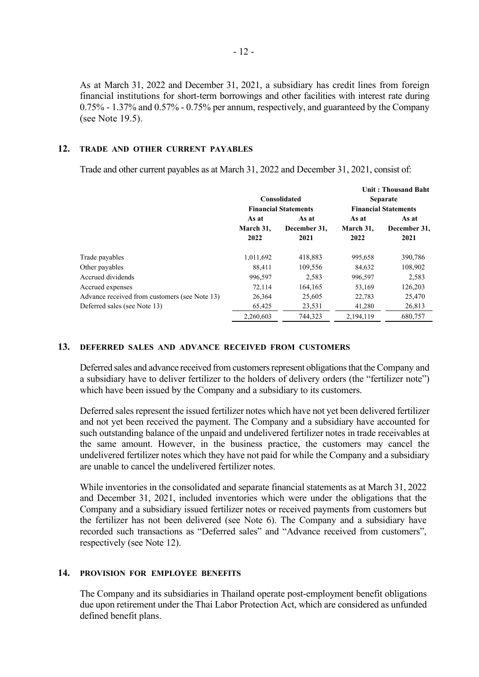As at March 31, 2022 and December 31, 2021, a subsidiary has credit lines from foreign financial institutions for short-term borrowings and other facilities with interest rate during 0.75% - 1.37% and 0.57% - 0.75% per annum, respectively, and guaranteed by the Company (see Note 19.5).

## **12. TRADE AND OTHER CURRENT PAYABLES**

Trade and other current payables as at March 31, 2022 and December 31, 2021, consist of:

|                                               |                   |                             |                                                | <b>Unit: Thousand Baht</b> |           |              |
|-----------------------------------------------|-------------------|-----------------------------|------------------------------------------------|----------------------------|-----------|--------------|
|                                               |                   | Consolidated                | <b>Separate</b><br><b>Financial Statements</b> |                            |           |              |
|                                               |                   | <b>Financial Statements</b> |                                                |                            |           |              |
|                                               | As at             | As at                       | As at                                          | As at                      |           |              |
|                                               | March 31,<br>2022 |                             |                                                | December 31,               | March 31, | December 31. |
|                                               |                   | 2021                        | 2022                                           | 2021                       |           |              |
| Trade payables                                | 1,011,692         | 418,883                     | 995,658                                        | 390,786                    |           |              |
| Other payables                                | 88,411            | 109,556                     | 84,632                                         | 108,902                    |           |              |
| Accrued dividends                             | 996,597           | 2,583                       | 996,597                                        | 2,583                      |           |              |
| Accrued expenses                              | 72,114            | 164,165                     | 53,169                                         | 126,203                    |           |              |
| Advance received from customers (see Note 13) | 26,364            | 25,605                      | 22,783                                         | 25,470                     |           |              |
| Deferred sales (see Note 13)                  | 65,425            | 23,531                      | 41,280                                         | 26,813                     |           |              |
|                                               | 2,260,603         | 744,323                     | 2,194,119                                      | 680,757                    |           |              |

## **13. DEFERRED SALES AND ADVANCE RECEIVED FROM CUSTOMERS**

Deferred sales and advance received from customers represent obligations that the Company and a subsidiary have to deliver fertilizer to the holders of delivery orders (the "fertilizer note") which have been issued by the Company and a subsidiary to its customers.

Deferred sales represent the issued fertilizer notes which have not yet been delivered fertilizer and not yet been received the payment. The Company and a subsidiary have accounted for such outstanding balance of the unpaid and undelivered fertilizer notes in trade receivables at the same amount. However, in the business practice, the customers may cancel the undelivered fertilizer notes which they have not paid for while the Company and a subsidiary are unable to cancel the undelivered fertilizer notes.

While inventories in the consolidated and separate financial statements as at March 31, 2022 and December 31, 2021, included inventories which were under the obligations that the Company and a subsidiary issued fertilizer notes or received payments from customers but the fertilizer has not been delivered (see Note 6). The Company and a subsidiary have recorded such transactions as "Deferred sales" and "Advance received from customers", respectively (see Note 12).

## **14. PROVISION FOR EMPLOYEE BENEFITS**

The Company and its subsidiaries in Thailand operate post-employment benefit obligations due upon retirement under the Thai Labor Protection Act, which are considered as unfunded defined benefit plans.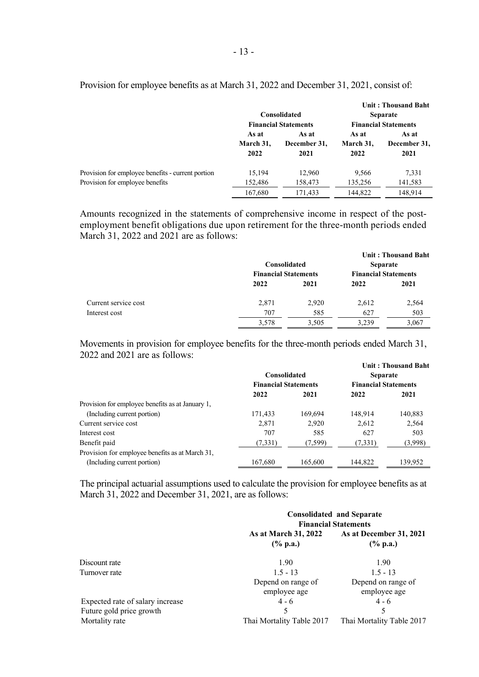|                                                   |                            |                               |                            | Unit: Thousand Baht           |
|---------------------------------------------------|----------------------------|-------------------------------|----------------------------|-------------------------------|
|                                                   |                            | Consolidated                  |                            | <b>Separate</b>               |
|                                                   |                            | <b>Financial Statements</b>   |                            | <b>Financial Statements</b>   |
|                                                   | As at<br>March 31,<br>2022 | As at<br>December 31,<br>2021 | As at<br>March 31,<br>2022 | As at<br>December 31,<br>2021 |
| Provision for employee benefits - current portion | 15,194                     | 12,960                        | 9,566                      | 7,331                         |
| Provision for employee benefits                   | 152,486                    | 158,473                       | 135,256                    | 141,583                       |
|                                                   | 167,680                    | 171.433                       | 144,822                    | 148,914                       |

Provision for employee benefits as at March 31, 2022 and December 31, 2021, consist of:

Amounts recognized in the statements of comprehensive income in respect of the postemployment benefit obligations due upon retirement for the three-month periods ended March 31, 2022 and 2021 are as follows:

|                      | Consolidated<br><b>Financial Statements</b> |       | <b>Separate</b><br><b>Financial Statements</b> | <b>Unit: Thousand Baht</b> |
|----------------------|---------------------------------------------|-------|------------------------------------------------|----------------------------|
|                      | 2022                                        | 2021  | 2022                                           | 2021                       |
| Current service cost | 2,871                                       | 2,920 | 2,612                                          | 2,564                      |
| Interest cost        | 707                                         | 585   | 627                                            | 503                        |
|                      | 3,578                                       | 3,505 | 3,239                                          | 3,067                      |

Movements in provision for employee benefits for the three-month periods ended March 31, 2022 and 2021 are as follows:

|                                                  |                             |         |                             | <b>Unit: Thousand Baht</b> |
|--------------------------------------------------|-----------------------------|---------|-----------------------------|----------------------------|
|                                                  | Consolidated                |         | <b>Separate</b>             |                            |
|                                                  | <b>Financial Statements</b> |         | <b>Financial Statements</b> |                            |
|                                                  | 2022                        | 2021    | 2022                        | 2021                       |
| Provision for employee benefits as at January 1, |                             |         |                             |                            |
| (Including current portion)                      | 171,433                     | 169,694 | 148,914                     | 140,883                    |
| Current service cost                             | 2,871                       | 2,920   | 2,612                       | 2,564                      |
| Interest cost                                    | 707                         | 585     | 627                         | 503                        |
| Benefit paid                                     | (7,331)                     | (7,599) | (7,331)                     | (3,998)                    |
| Provision for employee benefits as at March 31,  |                             |         |                             |                            |
| (Including current portion)                      | 167,680                     | 165,600 | 144.822                     | 139.952                    |

The principal actuarial assumptions used to calculate the provision for employee benefits as at March 31, 2022 and December 31, 2021, are as follows:

|                                  | <b>Consolidated and Separate</b><br><b>Financial Statements</b> |                                        |  |
|----------------------------------|-----------------------------------------------------------------|----------------------------------------|--|
|                                  | As at March 31, 2022<br>$(\%$ p.a.)                             | As at December 31, 2021<br>$(\%$ p.a.) |  |
| Discount rate                    | 1.90                                                            | 1.90                                   |  |
| Turnover rate                    | $1.5 - 13$                                                      | $1.5 - 13$                             |  |
|                                  | Depend on range of                                              | Depend on range of                     |  |
|                                  | employee age                                                    | employee age                           |  |
| Expected rate of salary increase | $4 - 6$                                                         | $4 - 6$                                |  |
| Future gold price growth         |                                                                 |                                        |  |
| Mortality rate                   | Thai Mortality Table 2017                                       | Thai Mortality Table 2017              |  |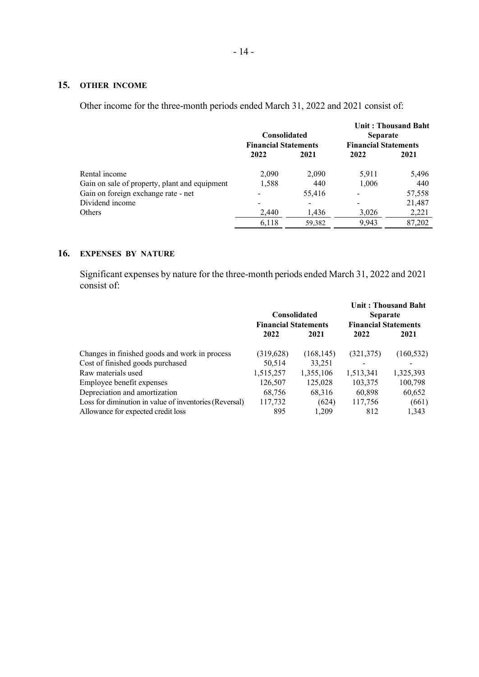# **15. OTHER INCOME**

Other income for the three-month periods ended March 31, 2022 and 2021 consist of:

|                                               | <b>Consolidated</b><br><b>Financial Statements</b> |                          | <b>Unit: Thousand Baht</b><br><b>Separate</b><br><b>Financial Statements</b> |        |
|-----------------------------------------------|----------------------------------------------------|--------------------------|------------------------------------------------------------------------------|--------|
|                                               | 2022                                               | 2021                     | 2022                                                                         | 2021   |
| Rental income                                 | 2,090                                              | 2,090                    | 5,911                                                                        | 5,496  |
| Gain on sale of property, plant and equipment | 1,588                                              | 440                      | 1,006                                                                        | 440    |
| Gain on foreign exchange rate - net           |                                                    | 55,416                   |                                                                              | 57,558 |
| Dividend income                               |                                                    | $\overline{\phantom{a}}$ |                                                                              | 21,487 |
| Others                                        | 2,440                                              | 1,436                    | 3,026                                                                        | 2,221  |
|                                               | 6,118                                              | 59,382                   | 9,943                                                                        | 87,202 |

## **16. EXPENSES BY NATURE**

Significant expenses by nature for the three-month periods ended March 31, 2022 and 2021 consist of:

|                                                        | <b>Consolidated</b><br><b>Financial Statements</b> |            | <b>Unit: Thousand Baht</b><br><b>Separate</b><br><b>Financial Statements</b> |            |
|--------------------------------------------------------|----------------------------------------------------|------------|------------------------------------------------------------------------------|------------|
|                                                        | 2022                                               | 2021       | 2022                                                                         | 2021       |
| Changes in finished goods and work in process          | (319, 628)                                         | (168, 145) | (321, 375)                                                                   | (160, 532) |
| Cost of finished goods purchased                       | 50,514                                             | 33,251     |                                                                              |            |
| Raw materials used                                     | 1,515,257                                          | 1,355,106  | 1,513,341                                                                    | 1,325,393  |
| Employee benefit expenses                              | 126,507                                            | 125,028    | 103,375                                                                      | 100,798    |
| Depreciation and amortization                          | 68,756                                             | 68,316     | 60,898                                                                       | 60,652     |
| Loss for diminution in value of inventories (Reversal) | 117,732                                            | (624)      | 117,756                                                                      | (661)      |
| Allowance for expected credit loss                     | 895                                                | 1.209      | 812                                                                          | 1,343      |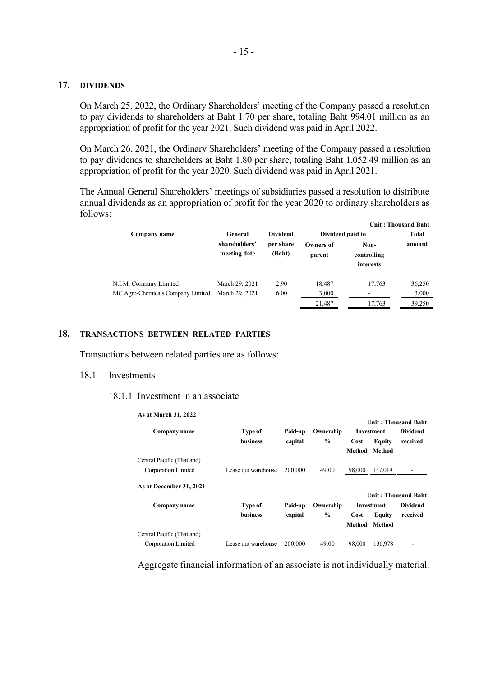## **17. DIVIDENDS**

On March 25, 2022, the Ordinary Shareholders' meeting of the Company passed a resolution to pay dividends to shareholders at Baht 1.70 per share, totaling Baht 994.01 million as an appropriation of profit for the year 2021. Such dividend was paid in April 2022.

On March 26, 2021, the Ordinary Shareholders' meeting of the Company passed a resolution to pay dividends to shareholders at Baht 1.80 per share, totaling Baht 1,052.49 million as an appropriation of profit for the year 2020. Such dividend was paid in April 2021.

The Annual General Shareholders' meetings of subsidiaries passed a resolution to distribute annual dividends as an appropriation of profit for the year 2020 to ordinary shareholders as follows:

|                                   |                               |                     |                            |                                  | <b>Unit: Thousand Baht</b> |  |
|-----------------------------------|-------------------------------|---------------------|----------------------------|----------------------------------|----------------------------|--|
| Company name                      | General                       | <b>Dividend</b>     |                            | Dividend paid to                 |                            |  |
|                                   | shareholders'<br>meeting date | per share<br>(Baht) | <b>Owners of</b><br>parent | Non-<br>controlling<br>interests | amount                     |  |
| N.I.M. Company Limited            | March 29, 2021                | 2.90                | 18.487                     | 17,763                           | 36,250                     |  |
| MC Agro-Chemicals Company Limited | March 29, 2021                | 6.00                | 3,000                      | ۰                                | 3,000                      |  |
|                                   |                               |                     | 21,487                     | 17,763                           | 39,250                     |  |

## **18. TRANSACTIONS BETWEEN RELATED PARTIES**

Transactions between related parties are as follows:

## 18.1 Investments

## 18.1.1 Investment in an associate

| <b>Type of</b>      | Paid-up | Ownership     |        |               | <b>Dividend</b>                                 |
|---------------------|---------|---------------|--------|---------------|-------------------------------------------------|
| <b>business</b>     | capital | $\frac{0}{0}$ | Cost   | <b>Equity</b> | received                                        |
|                     |         |               | Method | <b>Method</b> |                                                 |
|                     |         |               |        |               |                                                 |
| Lease out warehouse | 200,000 | 49.00         | 98,000 | 137,019       |                                                 |
|                     |         |               |        |               |                                                 |
|                     |         |               |        |               | Unit: Thousand Baht                             |
| <b>Type of</b>      | Paid-up | Ownership     |        |               | <b>Dividend</b>                                 |
| business            | capital | $\frac{0}{0}$ | Cost   | <b>Equity</b> | received                                        |
|                     |         |               | Method | <b>Method</b> |                                                 |
|                     |         |               |        |               |                                                 |
| Lease out warehouse | 200,000 | 49.00         | 98,000 | 136,978       |                                                 |
|                     |         |               |        |               | Unit: Thousand Baht<br>Investment<br>Investment |

Aggregate financial information of an associate is not individually material.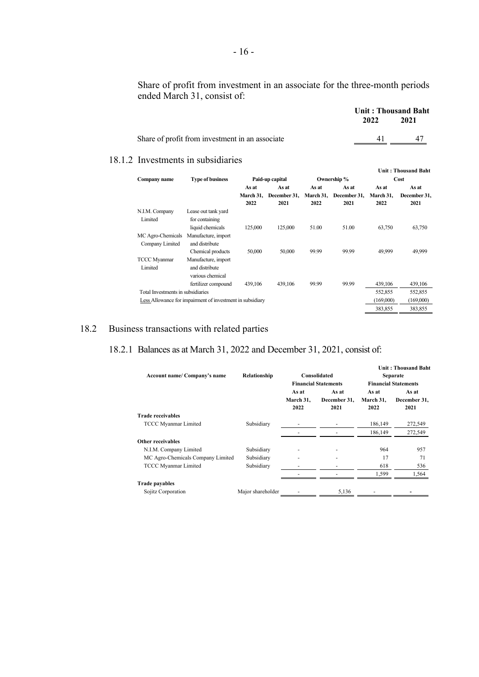Share of profit from investment in an associate for the three-month periods ended March 31, consist of:

|                                                 | <b>Unit: Thousand Baht</b> |      |
|-------------------------------------------------|----------------------------|------|
|                                                 | 2022                       | 2021 |
| Share of profit from investment in an associate | 41                         |      |
|                                                 |                            |      |

## 18.1.2 Investments in subsidiaries

| Company name                         | <b>Type of business</b>                                    |                            | Paid-up capital               |                            | Ownership %                   |                            | <b>Unit: Thousand Baht</b><br>Cost |
|--------------------------------------|------------------------------------------------------------|----------------------------|-------------------------------|----------------------------|-------------------------------|----------------------------|------------------------------------|
|                                      |                                                            | As at<br>March 31.<br>2022 | As at<br>December 31,<br>2021 | As at<br>March 31.<br>2022 | As at<br>December 31,<br>2021 | As at<br>March 31,<br>2022 | As at<br>December 31,<br>2021      |
| N.I.M. Company<br>Limited            | Lease out tank yard<br>for containing<br>liquid chemicals  | 125,000                    | 125,000                       | 51.00                      | 51.00                         | 63,750                     | 63,750                             |
| MC Agro-Chemicals<br>Company Limited | Manufacture, import<br>and distribute<br>Chemical products | 50,000                     | 50,000                        | 99.99                      | 99.99                         | 49.999                     | 49,999                             |
| <b>TCCC Myanmar</b><br>Limited       | Manufacture, import<br>and distribute<br>various chemical  |                            |                               |                            |                               |                            |                                    |
| Total Investments in subsidiaries    | fertilizer compound                                        | 439,106                    | 439,106                       | 99.99                      | 99.99                         | 439,106<br>552,855         | 439,106<br>552,855                 |
|                                      | Less Allowance for impairment of investment in subsidiary  |                            |                               |                            |                               | (169,000)                  | (169,000)                          |
|                                      |                                                            |                            |                               |                            |                               | 383,855                    | 383,855                            |

# 18.2 Business transactions with related parties

# 18.2.1 Balances as at March 31, 2022 and December 31, 2021, consist of:

| Account name/ Company's name      | Relationship      | Consolidated<br><b>Financial Statements</b> |                               | Unit: Thousand Baht<br><b>Separate</b><br><b>Financial Statements</b> |                               |
|-----------------------------------|-------------------|---------------------------------------------|-------------------------------|-----------------------------------------------------------------------|-------------------------------|
|                                   |                   | As at<br>March 31,<br>2022                  | As at<br>December 31.<br>2021 | As at<br>March 31,<br>2022                                            | As at<br>December 31,<br>2021 |
| <b>Trade receivables</b>          |                   |                                             |                               |                                                                       |                               |
| TCCC Myanmar Limited              | Subsidiary        |                                             |                               | 186,149                                                               | 272,549                       |
|                                   |                   |                                             |                               | 186,149                                                               | 272,549                       |
| Other receivables                 |                   |                                             |                               |                                                                       |                               |
| N.I.M. Company Limited            | Subsidiary        |                                             |                               | 964                                                                   | 957                           |
| MC Agro-Chemicals Company Limited | Subsidiary        |                                             |                               | 17                                                                    | 71                            |
| <b>TCCC Myanmar Limited</b>       | Subsidiary        |                                             |                               | 618                                                                   | 536                           |
|                                   |                   |                                             |                               | 1,599                                                                 | 1,564                         |
| <b>Trade payables</b>             |                   |                                             |                               |                                                                       |                               |
| Sojitz Corporation                | Major shareholder |                                             | 5,136                         |                                                                       |                               |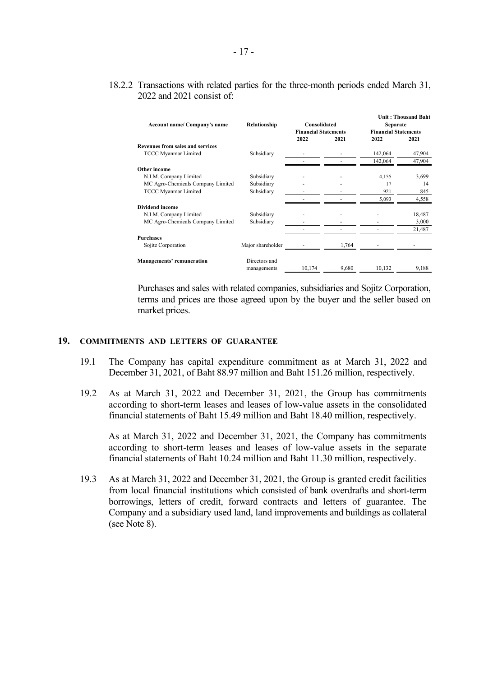# 18.2.2 Transactions with related parties for the three-month periods ended March 31, 2022 and 2021 consist of:

|                                         |                   |                             |       |                             | <b>Unit: Thousand Baht</b> |
|-----------------------------------------|-------------------|-----------------------------|-------|-----------------------------|----------------------------|
| Account name/ Company's name            | Relationship      | Consolidated                |       | Separate                    |                            |
|                                         |                   | <b>Financial Statements</b> |       | <b>Financial Statements</b> |                            |
|                                         |                   | 2022                        | 2021  | 2022                        | 2021                       |
| <b>Revenues from sales and services</b> |                   |                             |       |                             |                            |
| <b>TCCC Myanmar Limited</b>             | Subsidiary        |                             |       | 142,064                     | 47,904                     |
|                                         |                   |                             |       | 142,064                     | 47,904                     |
| Other income                            |                   |                             |       |                             |                            |
| N.I.M. Company Limited                  | Subsidiary        |                             |       | 4,155                       | 3,699                      |
| MC Agro-Chemicals Company Limited       | Subsidiary        |                             |       | 17                          | 14                         |
| <b>TCCC Myanmar Limited</b>             | Subsidiary        |                             |       | 921                         | 845                        |
|                                         |                   |                             |       | 5,093                       | 4,558                      |
| Dividend income                         |                   |                             |       |                             |                            |
| N.I.M. Company Limited                  | Subsidiary        |                             |       |                             | 18,487                     |
| MC Agro-Chemicals Company Limited       | Subsidiary        |                             |       |                             | 3,000                      |
|                                         |                   |                             |       |                             | 21,487                     |
| <b>Purchases</b>                        |                   |                             |       |                             |                            |
| Sojitz Corporation                      | Major shareholder |                             | 1,764 |                             |                            |
| <b>Managements' remuneration</b>        | Directors and     |                             |       |                             |                            |
|                                         | managements       | 10,174                      | 9,680 | 10,132                      | 9,188                      |

Purchases and sales with related companies, subsidiaries and Sojitz Corporation, terms and prices are those agreed upon by the buyer and the seller based on market prices.

## **19. COMMITMENTS AND LETTERS OF GUARANTEE**

- 19.1 The Company has capital expenditure commitment as at March 31, 2022 and December 31, 2021, of Baht 88.97 million and Baht 151.26 million, respectively.
- 19.2 As at March 31, 2022 and December 31, 2021, the Group has commitments according to short-term leases and leases of low-value assets in the consolidated financial statements of Baht 15.49 million and Baht 18.40 million, respectively.

As at March 31, 2022 and December 31, 2021, the Company has commitments according to short-term leases and leases of low-value assets in the separate financial statements of Baht 10.24 million and Baht 11.30 million, respectively.

19.3 As at March 31, 2022 and December 31, 2021, the Group is granted credit facilities from local financial institutions which consisted of bank overdrafts and short-term borrowings, letters of credit, forward contracts and letters of guarantee. The Company and a subsidiary used land, land improvements and buildings as collateral (see Note 8).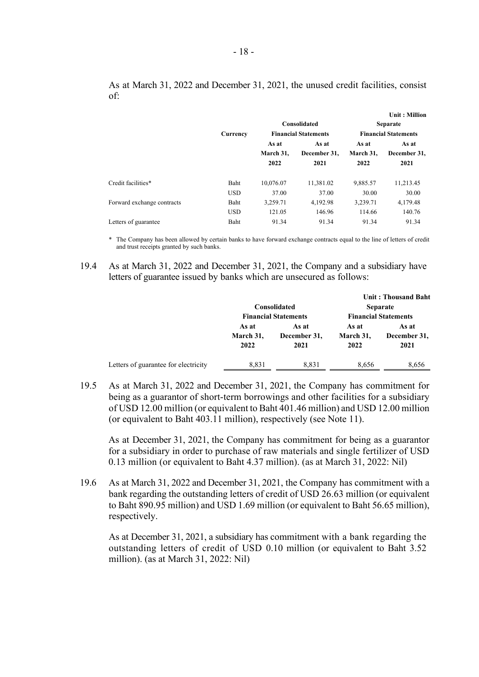|                            | Currency                  |                            | Consolidated<br><b>Financial Statements</b> | Unit : Million<br><b>Separate</b><br><b>Financial Statements</b> |                               |  |
|----------------------------|---------------------------|----------------------------|---------------------------------------------|------------------------------------------------------------------|-------------------------------|--|
|                            |                           | As at<br>March 31,<br>2022 | As at<br>December 31,<br>2021               | As at<br>March 31,<br>2022                                       | As at<br>December 31,<br>2021 |  |
| Credit facilities*         | <b>Baht</b><br><b>USD</b> | 10,076.07<br>37.00         | 11,381.02<br>37.00                          | 9,885.57<br>30.00                                                | 11,213.45<br>30.00            |  |
| Forward exchange contracts | Baht<br><b>USD</b>        | 3,259.71<br>121.05         | 4,192.98<br>146.96                          | 3,239.71<br>114.66                                               | 4,179.48<br>140.76            |  |
| Letters of guarantee       | <b>Baht</b>               | 91.34                      | 91.34                                       | 91.34                                                            | 91.34                         |  |

As at March 31, 2022 and December 31, 2021, the unused credit facilities, consist of:

\* The Company has been allowed by certain banks to have forward exchange contracts equal to the line of letters of credit and trust receipts granted by such banks.

19.4 As at March 31, 2022 and December 31, 2021, the Company and a subsidiary have letters of guarantee issued by banks which are unsecured as follows:

|                                      |                            | Consolidated<br><b>Financial Statements</b> |                            | Unit: Thousand Baht<br><b>Separate</b><br><b>Financial Statements</b> |
|--------------------------------------|----------------------------|---------------------------------------------|----------------------------|-----------------------------------------------------------------------|
|                                      | As at<br>March 31,<br>2022 | As at<br>December 31,<br>2021               | As at<br>March 31,<br>2022 | As at<br>December 31,<br>2021                                         |
| Letters of guarantee for electricity | 8,831                      | 8,831                                       | 8,656                      | 8,656                                                                 |

19.5 As at March 31, 2022 and December 31, 2021, the Company has commitment for being as a guarantor of short-term borrowings and other facilities for a subsidiary of USD 12.00 million (or equivalent to Baht 401.46 million) and USD 12.00 million (or equivalent to Baht 403.11 million), respectively (see Note 11).

As at December 31, 2021, the Company has commitment for being as a guarantor for a subsidiary in order to purchase of raw materials and single fertilizer of USD 0.13 million (or equivalent to Baht 4.37 million). (as at March 31, 2022: Nil)

19.6 As at March 31, 2022 and December 31, 2021, the Company has commitment with a bank regarding the outstanding letters of credit of USD 26.63 million (or equivalent to Baht 890.95 million) and USD 1.69 million (or equivalent to Baht 56.65 million), respectively.

As at December 31, 2021, a subsidiary has commitment with a bank regarding the outstanding letters of credit of USD 0.10 million (or equivalent to Baht 3.52 million). (as at March 31, 2022: Nil)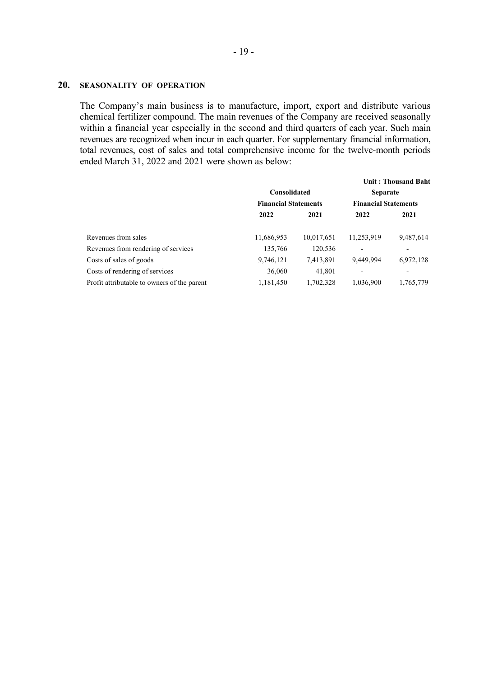## **20. SEASONALITY OF OPERATION**

The Company's main business is to manufacture, import, export and distribute various chemical fertilizer compound. The main revenues of the Company are received seasonally within a financial year especially in the second and third quarters of each year. Such main revenues are recognized when incur in each quarter. For supplementary financial information, total revenues, cost of sales and total comprehensive income for the twelve-month periods ended March 31, 2022 and 2021 were shown as below:

|                                             |                             |            |                             | <b>Unit: Thousand Baht</b> |  |
|---------------------------------------------|-----------------------------|------------|-----------------------------|----------------------------|--|
|                                             | Consolidated                |            | <b>Separate</b>             |                            |  |
|                                             | <b>Financial Statements</b> |            | <b>Financial Statements</b> |                            |  |
|                                             | 2022                        | 2021       | 2022                        | 2021                       |  |
| Revenues from sales                         | 11,686,953                  | 10,017,651 | 11,253,919                  | 9,487,614                  |  |
| Revenues from rendering of services         | 135,766                     | 120,536    |                             |                            |  |
| Costs of sales of goods                     | 9,746,121                   | 7,413,891  | 9,449,994                   | 6,972,128                  |  |
| Costs of rendering of services              | 36,060                      | 41,801     |                             |                            |  |
| Profit attributable to owners of the parent | 1,181,450                   | 1,702,328  | 1,036,900                   | 1,765,779                  |  |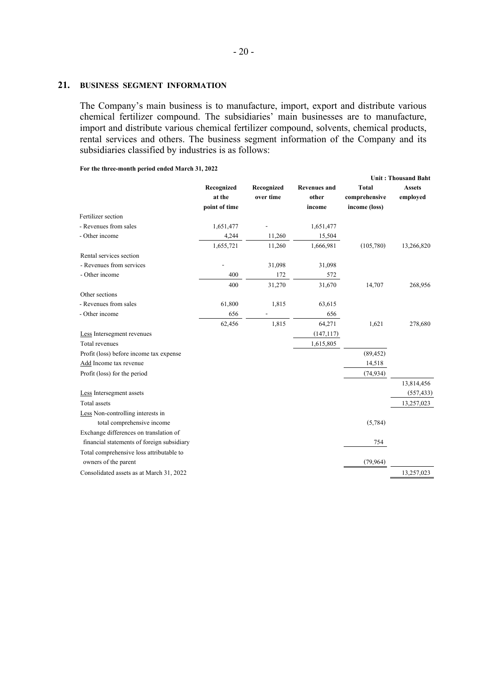## **21. BUSINESS SEGMENT INFORMATION**

The Company's main business is to manufacture, import, export and distribute various chemical fertilizer compound. The subsidiaries' main businesses are to manufacture, import and distribute various chemical fertilizer compound, solvents, chemical products, rental services and others. The business segment information of the Company and its subsidiaries classified by industries is as follows:

**For the three-month period ended March 31, 2022**

|                                            |                      |                         |                              | <b>Unit: Thousand Baht</b>    |                           |  |
|--------------------------------------------|----------------------|-------------------------|------------------------------|-------------------------------|---------------------------|--|
|                                            | Recognized<br>at the | Recognized<br>over time | <b>Revenues and</b><br>other | <b>Total</b><br>comprehensive | <b>Assets</b><br>employed |  |
| Fertilizer section                         | point of time        |                         | income                       | income (loss)                 |                           |  |
| - Revenues from sales                      | 1,651,477            |                         | 1,651,477                    |                               |                           |  |
| - Other income                             | 4,244                | 11,260                  | 15,504                       |                               |                           |  |
|                                            | 1,655,721            | 11,260                  | 1,666,981                    | (105,780)                     | 13,266,820                |  |
| Rental services section                    |                      |                         |                              |                               |                           |  |
| - Revenues from services                   |                      | 31,098                  | 31,098                       |                               |                           |  |
| - Other income                             | 400                  | 172                     | 572                          |                               |                           |  |
|                                            | 400                  | 31,270                  | 31,670                       | 14,707                        | 268,956                   |  |
| Other sections                             |                      |                         |                              |                               |                           |  |
| - Revenues from sales                      | 61,800               | 1,815                   | 63,615                       |                               |                           |  |
| - Other income                             | 656                  |                         | 656                          |                               |                           |  |
|                                            | 62,456               | 1,815                   | 64,271                       | 1,621                         | 278,680                   |  |
| Less Intersegment revenues                 |                      |                         | (147, 117)                   |                               |                           |  |
| Total revenues                             |                      |                         | 1,615,805                    |                               |                           |  |
| Profit (loss) before income tax expense    |                      |                         |                              | (89, 452)                     |                           |  |
| Add Income tax revenue                     |                      |                         |                              | 14,518                        |                           |  |
| Profit (loss) for the period               |                      |                         |                              | (74, 934)                     |                           |  |
|                                            |                      |                         |                              |                               | 13,814,456                |  |
| Less Intersegment assets                   |                      |                         |                              |                               | (557, 433)                |  |
| Total assets                               |                      |                         |                              |                               | 13,257,023                |  |
| Less Non-controlling interests in          |                      |                         |                              |                               |                           |  |
| total comprehensive income                 |                      |                         |                              | (5,784)                       |                           |  |
| Exchange differences on translation of     |                      |                         |                              |                               |                           |  |
| financial statements of foreign subsidiary |                      |                         |                              | 754                           |                           |  |
| Total comprehensive loss attributable to   |                      |                         |                              |                               |                           |  |
| owners of the parent                       |                      |                         |                              | (79,964)                      |                           |  |
| Consolidated assets as at March 31, 2022   |                      |                         |                              |                               | 13,257,023                |  |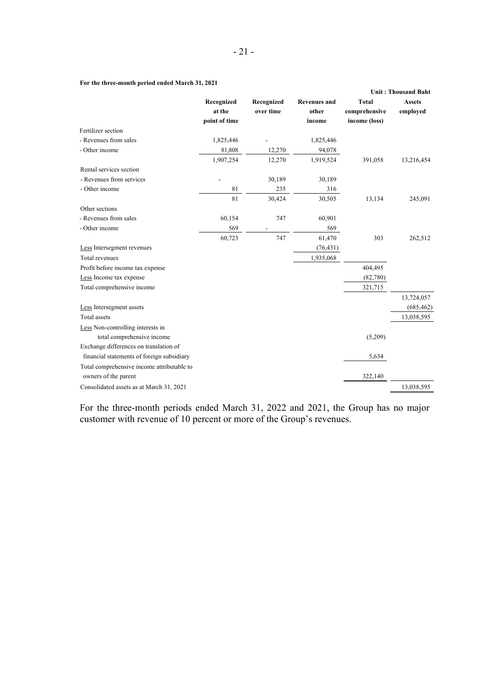## **For the three-month period ended March 31, 2021**

|                                            |                                       |                         |                                        | <b>Unit: Thousand Baht</b>                     |                           |
|--------------------------------------------|---------------------------------------|-------------------------|----------------------------------------|------------------------------------------------|---------------------------|
|                                            | Recognized<br>at the<br>point of time | Recognized<br>over time | <b>Revenues and</b><br>other<br>income | <b>Total</b><br>comprehensive<br>income (loss) | <b>Assets</b><br>employed |
| Fertilizer section                         |                                       |                         |                                        |                                                |                           |
| - Revenues from sales                      | 1,825,446                             |                         | 1,825,446                              |                                                |                           |
| - Other income                             | 81,808                                | 12,270                  | 94,078                                 |                                                |                           |
|                                            | 1,907,254                             | 12,270                  | 1,919,524                              | 391,058                                        | 13,216,454                |
| Rental services section                    |                                       |                         |                                        |                                                |                           |
| - Revenues from services                   |                                       | 30,189                  | 30,189                                 |                                                |                           |
| - Other income                             | 81                                    | 235                     | 316                                    |                                                |                           |
|                                            | 81                                    | 30,424                  | 30,505                                 | 13,134                                         | 245,091                   |
| Other sections                             |                                       |                         |                                        |                                                |                           |
| - Revenues from sales                      | 60,154                                | 747                     | 60,901                                 |                                                |                           |
| - Other income                             | 569                                   |                         | 569                                    |                                                |                           |
|                                            | 60,723                                | 747                     | 61,470                                 | 303                                            | 262,512                   |
| Less Intersegment revenues                 |                                       |                         | (76, 431)                              |                                                |                           |
| Total revenues                             |                                       |                         | 1,935,068                              |                                                |                           |
| Profit before income tax expense           |                                       |                         |                                        | 404,495                                        |                           |
| Less Income tax expense                    |                                       |                         |                                        | (82,780)                                       |                           |
| Total comprehensive income                 |                                       |                         |                                        | 321,715                                        |                           |
|                                            |                                       |                         |                                        |                                                | 13,724,057                |
| Less Intersegment assets                   |                                       |                         |                                        |                                                | (685, 462)                |
| Total assets                               |                                       |                         |                                        |                                                | 13,038,595                |
| Less Non-controlling interests in          |                                       |                         |                                        |                                                |                           |
| total comprehensive income                 |                                       |                         |                                        | (5,209)                                        |                           |
| Exchange differences on translation of     |                                       |                         |                                        |                                                |                           |
| financial statements of foreign subsidiary |                                       |                         |                                        | 5,634                                          |                           |
| Total comprehensive income attributable to |                                       |                         |                                        |                                                |                           |
| owners of the parent                       |                                       |                         |                                        | 322,140                                        |                           |
| Consolidated assets as at March 31, 2021   |                                       |                         |                                        |                                                | 13,038,595                |

For the three-month periods ended March 31, 2022 and 2021, the Group has no major customer with revenue of 10 percent or more of the Group's revenues.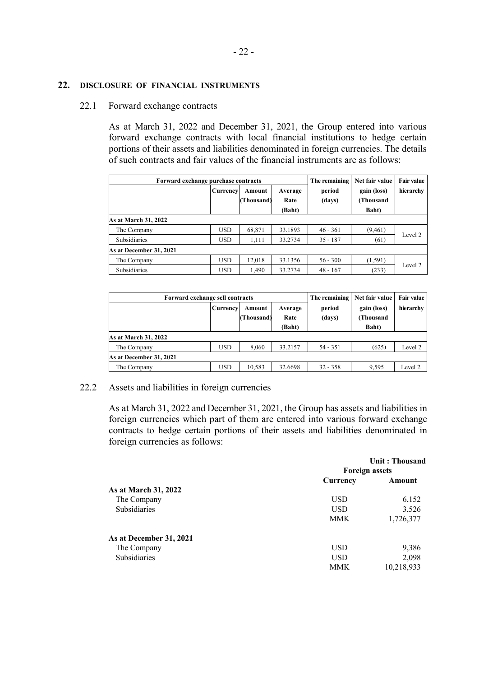# **22. DISCLOSURE OF FINANCIAL INSTRUMENTS**

# 22.1 Forward exchange contracts

As at March 31, 2022 and December 31, 2021, the Group entered into various forward exchange contracts with local financial institutions to hedge certain portions of their assets and liabilities denominated in foreign currencies. The details of such contracts and fair values of the financial instruments are as follows:

| Forward exchange purchase contracts |            |                      |                           | The remaining    | Net fair value                           | <b>Fair value</b> |  |
|-------------------------------------|------------|----------------------|---------------------------|------------------|------------------------------------------|-------------------|--|
|                                     | Currency   | Amount<br>(Thousand) | Average<br>Rate<br>(Baht) | period<br>(days) | gain (loss)<br><b>(Thousand</b><br>Baht) | hierarchy         |  |
| As at March 31, 2022                |            |                      |                           |                  |                                          |                   |  |
| The Company                         | <b>USD</b> | 68,871               | 33.1893                   | $46 - 361$       | (9, 461)                                 |                   |  |
| <b>Subsidiaries</b>                 | <b>USD</b> | 1,111                | 33.2734                   | $35 - 187$       | (61)                                     | Level 2           |  |
| As at December 31, 2021             |            |                      |                           |                  |                                          |                   |  |
| The Company                         | <b>USD</b> | 12.018               | 33.1356                   | $56 - 300$       | (1,591)                                  |                   |  |
| <b>Subsidiaries</b>                 | <b>USD</b> | 1,490                | 33.2734                   | $48 - 167$       | (233)                                    | Level 2           |  |

| Forward exchange sell contracts |            |                      |                           | The remaining    | Net fair value                    | <b>Fair value</b> |  |
|---------------------------------|------------|----------------------|---------------------------|------------------|-----------------------------------|-------------------|--|
|                                 | Currency   | Amount<br>(Thousand) | Average<br>Rate<br>(Baht) | period<br>(days) | gain (loss)<br>(Thousand<br>Baht) | hierarchy         |  |
| As at March 31, 2022            |            |                      |                           |                  |                                   |                   |  |
| The Company                     | <b>USD</b> | 8,060                | 33.2157                   | $54 - 351$       | (625)                             | Level 2           |  |
| As at December 31, 2021         |            |                      |                           |                  |                                   |                   |  |
| The Company                     | <b>USD</b> | 10,583               | 32.6698                   | $32 - 358$       | 9,595                             | Level 2           |  |

# 22.2 Assets and liabilities in foreign currencies

As at March 31, 2022 and December 31, 2021, the Group has assets and liabilities in foreign currencies which part of them are entered into various forward exchange contracts to hedge certain portions of their assets and liabilities denominated in foreign currencies as follows:

| Unit: Thousand<br><b>Foreign assets</b> |            |  |
|-----------------------------------------|------------|--|
|                                         |            |  |
|                                         |            |  |
| <b>USD</b>                              | 6,152      |  |
| <b>USD</b>                              | 3,526      |  |
| <b>MMK</b>                              | 1,726,377  |  |
|                                         |            |  |
| <b>USD</b>                              | 9,386      |  |
| <b>USD</b>                              | 2,098      |  |
| <b>MMK</b>                              | 10,218,933 |  |
|                                         |            |  |